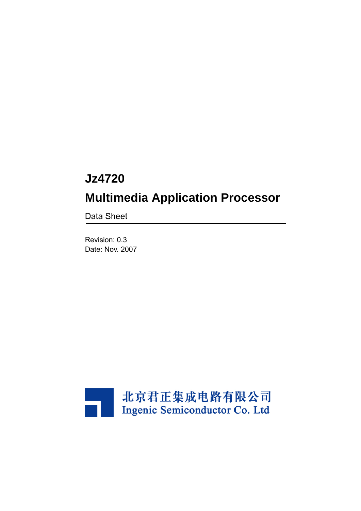# **Jz4720 Multimedia Application Processor**

Data Sheet

Revision: 0.3 Date: Nov. 2007

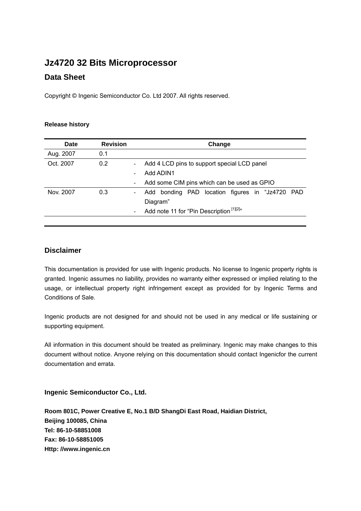# **Jz4720 32 Bits Microprocessor**

# **Data Sheet**

Copyright © Ingenic Semiconductor Co. Ltd 2007. All rights reserved.

### **Release history**

| <b>Date</b> | <b>Revision</b> | Change                                             |
|-------------|-----------------|----------------------------------------------------|
| Aug. 2007   | 0.1             |                                                    |
| Oct. 2007   | 0.2             | Add 4 LCD pins to support special LCD panel        |
|             |                 | Add ADIN1                                          |
|             |                 | Add some CIM pins which can be used as GPIO        |
| Nov. 2007   | 0.3             | bonding PAD location figures in "Jz4720 PAD<br>Add |
|             |                 | Diagram"                                           |
|             |                 | Add note 11 for "Pin Description [1][2]"           |
|             |                 |                                                    |

## **Disclaimer**

This documentation is provided for use with Ingenic products. No license to Ingenic property rights is granted. Ingenic assumes no liability, provides no warranty either expressed or implied relating to the usage, or intellectual property right infringement except as provided for by Ingenic Terms and Conditions of Sale.

Ingenic products are not designed for and should not be used in any medical or life sustaining or supporting equipment.

All information in this document should be treated as preliminary. Ingenic may make changes to this document without notice. Anyone relying on this documentation should contact Ingenicfor the current documentation and errata.

### **Ingenic Semiconductor Co., Ltd.**

**Room 801C, Power Creative E, No.1 B/D ShangDi East Road, Haidian District, Beijing 100085, China Tel: 86-10-58851008 Fax: 86-10-58851005 Http: //www.ingenic.cn**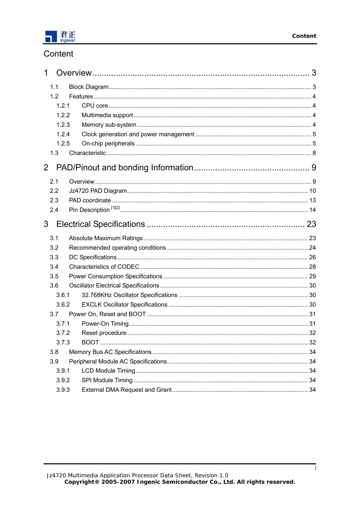

# Content

| $\mathbf 1$    |       |  |
|----------------|-------|--|
| 1.1            |       |  |
| 1.2            |       |  |
|                | 1.2.1 |  |
|                | 1.2.2 |  |
|                | 1.2.3 |  |
|                | 1.2.4 |  |
|                | 1.2.5 |  |
| 1.3            |       |  |
| $\overline{2}$ |       |  |
| 2.1            |       |  |
| 2.2            |       |  |
| 2.3            |       |  |
| 2.4            |       |  |
| 3              |       |  |
| 3.1            |       |  |
| 3.2            |       |  |
| 3.3            |       |  |
| 3.4            |       |  |
| 3.5            |       |  |
| 3.6            |       |  |
| 3.6.1          |       |  |
|                | 3.6.2 |  |
| 3.7            |       |  |
|                | 3.7.1 |  |
|                | 3.7.2 |  |
|                | 3.7.3 |  |
| 3.8            |       |  |
| 3.9            |       |  |
|                | 3.9.1 |  |
|                | 3.9.2 |  |
|                | 3.9.3 |  |

 $\mathbf i$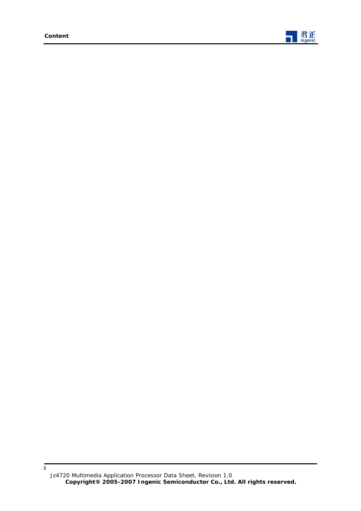ii

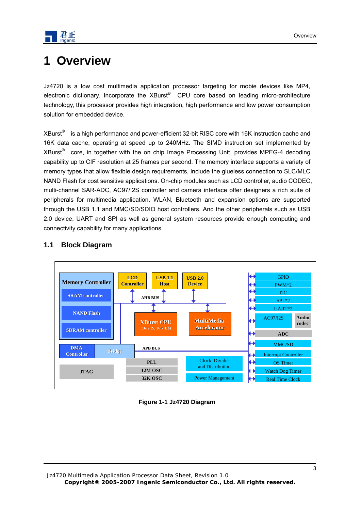<span id="page-6-0"></span>

# **1 Overview**

Jz4720 is a low cost multimedia application processor targeting for mobie devices like MP4, electronic dictionary. Incorporate the XBurst® CPU core based on leading micro-architecture technology, this processor provides high integration, high performance and low power consumption solution for embedded device.

XBurst<sup>®</sup> is a high performance and power-efficient 32-bit RISC core with 16K instruction cache and 16K data cache, operating at speed up to 240MHz. The SIMD instruction set implemented by XBurst<sup>®</sup> core, in together with the on chip Image Processing Unit, provides MPEG-4 decoding capability up to CIF resolution at 25 frames per second. The memory interface supports a variety of memory types that allow flexible design requirements, include the glueless connection to SLC/MLC NAND Flash for cost sensitive applications. On-chip modules such as LCD controller, audio CODEC, multi-channel SAR-ADC, AC97/I2S controller and camera interface offer designers a rich suite of peripherals for multimedia application. WLAN, Bluetooth and expansion options are supported through the USB 1.1 and MMC/SD/SDIO host controllers. And the other peripherals such as USB 2.0 device, UART and SPI as well as general system resources provide enough computing and connectivity capability for many applications.



# **1.1 Block Diagram**

**Figure 1-1 Jz4720 Diagram**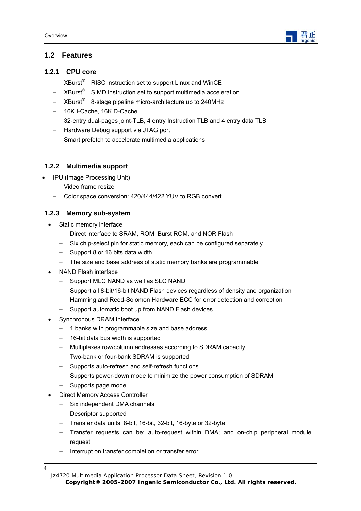

# <span id="page-7-0"></span>**1.2 Features**

## **1.2.1 CPU core**

- XBurst<sup>®</sup> RISC instruction set to support Linux and WinCE
- XBurst<sup>®</sup> SIMD instruction set to support multimedia acceleration
- ― XBurst® 8-stage pipeline micro-architecture up to 240MHz
- ― 16K I-Cache, 16K D-Cache
- ― 32-entry dual-pages joint-TLB, 4 entry Instruction TLB and 4 entry data TLB
- ― Hardware Debug support via JTAG port
- Smart prefetch to accelerate multimedia applications

## **1.2.2 Multimedia support**

- IPU (Image Processing Unit)
	- ― Video frame resize
	- ― Color space conversion: 420/444/422 YUV to RGB convert

### **1.2.3 Memory sub-system**

- Static memory interface
	- ― Direct interface to SRAM, ROM, Burst ROM, and NOR Flash
	- ― Six chip-select pin for static memory, each can be configured separately
	- ― Support 8 or 16 bits data width
	- ― The size and base address of static memory banks are programmable
- NAND Flash interface
	- ― Support MLC NAND as well as SLC NAND
	- ― Support all 8-bit/16-bit NAND Flash devices regardless of density and organization
	- ― Hamming and Reed-Solomon Hardware ECC for error detection and correction
	- ― Support automatic boot up from NAND Flash devices
- Synchronous DRAM Interface
	- ― 1 banks with programmable size and base address
	- ― 16-bit data bus width is supported
	- ― Multiplexes row/column addresses according to SDRAM capacity
	- ― Two-bank or four-bank SDRAM is supported
	- ― Supports auto-refresh and self-refresh functions
	- ― Supports power-down mode to minimize the power consumption of SDRAM
	- ― Supports page mode
- Direct Memory Access Controller
	- ― Six independent DMA channels
	- ― Descriptor supported

4

- ― Transfer data units: 8-bit, 16-bit, 32-bit, 16-byte or 32-byte
- ― Transfer requests can be: auto-request within DMA; and on-chip peripheral module request
- Interrupt on transfer completion or transfer error

Jz4720 Multimedia Application Processor Data Sheet, Revision 1.0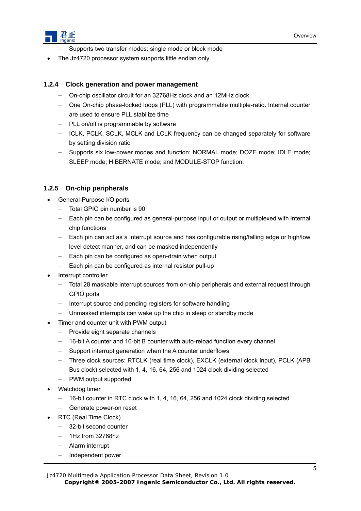<span id="page-8-0"></span>

- Supports two transfer modes: single mode or block mode
- The Jz4720 processor system supports little endian only

### **1.2.4 Clock generation and power management**

- ― On-chip oscillator circuit for an 32768Hz clock and an 12MHz clock
- ― One On-chip phase-locked loops (PLL) with programmable multiple-ratio. Internal counter are used to ensure PLL stabilize time
- ― PLL on/off is programmable by software
- ― ICLK, PCLK, SCLK, MCLK and LCLK frequency can be changed separately for software by setting division ratio
- ― Supports six low-power modes and function: NORMAL mode; DOZE mode; IDLE mode; SLEEP mode; HIBERNATE mode; and MODULE-STOP function.

## **1.2.5 On-chip peripherals**

- General-Purpose I/O ports
	- ― Total GPIO pin number is 90
	- ― Each pin can be configured as general-purpose input or output or multiplexed with internal chip functions
	- ― Each pin can act as a interrupt source and has configurable rising/falling edge or high/low level detect manner, and can be masked independently
	- ― Each pin can be configured as open-drain when output
	- ― Each pin can be configured as internal resistor pull-up
- Interrupt controller
	- ― Total 28 maskable interrupt sources from on-chip peripherals and external request through GPIO ports
	- ― Interrupt source and pending registers for software handling
	- ― Unmasked interrupts can wake up the chip in sleep or standby mode
- Timer and counter unit with PWM output
	- ― Provide eight separate channels
	- ― 16-bit A counter and 16-bit B counter with auto-reload function every channel
	- ― Support interrupt generation when the A counter underflows
	- ― Three clock sources: RTCLK (real time clock), EXCLK (external clock input), PCLK (APB Bus clock) selected with 1, 4, 16, 64, 256 and 1024 clock dividing selected
	- ― PWM output supported
- Watchdog timer
	- ― 16-bit counter in RTC clock with 1, 4, 16, 64, 256 and 1024 clock dividing selected
	- ― Generate power-on reset
- RTC (Real Time Clock)
	- ― 32-bit second counter
	- ― 1Hz from 32768hz
	- ― Alarm interrupt
	- ― Independent power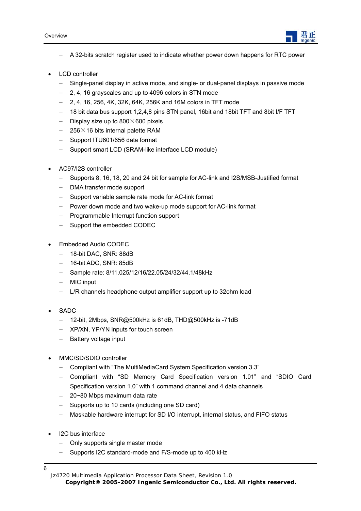

- ― A 32-bits scratch register used to indicate whether power down happens for RTC power
- LCD controller
	- ― Single-panel display in active mode, and single- or dual-panel displays in passive mode
	- ― 2, 4, 16 grayscales and up to 4096 colors in STN mode
	- ― 2, 4, 16, 256, 4K, 32K, 64K, 256K and 16M colors in TFT mode
	- ― 18 bit data bus support 1,2,4,8 pins STN panel, 16bit and 18bit TFT and 8bit I/F TFT
	- $-$  Display size up to 800 $\times$ 600 pixels
	- $-$  256 $\times$ 16 bits internal palette RAM
	- ― Support ITU601/656 data format
	- ― Support smart LCD (SRAM-like interface LCD module)
- AC97/I2S controller
	- ― Supports 8, 16, 18, 20 and 24 bit for sample for AC-link and I2S/MSB-Justified format
	- ― DMA transfer mode support
	- ― Support variable sample rate mode for AC-link format
	- ― Power down mode and two wake-up mode support for AC-link format
	- ― Programmable Interrupt function support
	- ― Support the embedded CODEC
- Embedded Audio CODEC
	- ― 18-bit DAC, SNR: 88dB
	- ― 16-bit ADC, SNR: 85dB
	- ― Sample rate: 8/11.025/12/16/22.05/24/32/44.1/48kHz
	- ― MIC input
	- ― L/R channels headphone output amplifier support up to 32ohm load
- SADC
	- ― 12-bit, 2Mbps, SNR@500kHz is 61dB, THD@500kHz is -71dB
	- ― XP/XN, YP/YN inputs for touch screen
	- ― Battery voltage input
- MMC/SD/SDIO controller
	- ― Compliant with "The MultiMediaCard System Specification version 3.3"
	- ― Compliant with "SD Memory Card Specification version 1.01" and "SDIO Card Specification version 1.0" with 1 command channel and 4 data channels
	- ― 20~80 Mbps maximum data rate
	- ― Supports up to 10 cards (including one SD card)
	- ― Maskable hardware interrupt for SD I/O interrupt, internal status, and FIFO status
- I2C bus interface
	- ― Only supports single master mode
	- ― Supports I2C standard-mode and F/S-mode up to 400 kHz
- 6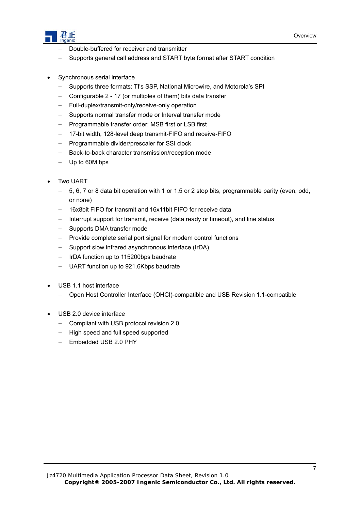

- ― Double-buffered for receiver and transmitter
- Supports general call address and START byte format after START condition
- Synchronous serial interface
	- ― Supports three formats: TI's SSP, National Microwire, and Motorola's SPI
	- ― Configurable 2 17 (or multiples of them) bits data transfer
	- ― Full-duplex/transmit-only/receive-only operation
	- ― Supports normal transfer mode or Interval transfer mode
	- ― Programmable transfer order: MSB first or LSB first
	- ― 17-bit width, 128-level deep transmit-FIFO and receive-FIFO
	- ― Programmable divider/prescaler for SSI clock
	- ― Back-to-back character transmission/reception mode
	- ― Up to 60M bps
- **Two UART** 
	- ― 5, 6, 7 or 8 data bit operation with 1 or 1.5 or 2 stop bits, programmable parity (even, odd, or none)
	- ― 16x8bit FIFO for transmit and 16x11bit FIFO for receive data
	- ― Interrupt support for transmit, receive (data ready or timeout), and line status
	- ― Supports DMA transfer mode
	- ― Provide complete serial port signal for modem control functions
	- ― Support slow infrared asynchronous interface (IrDA)
	- ― IrDA function up to 115200bps baudrate
	- ― UART function up to 921.6Kbps baudrate
- USB 1.1 host interface
	- ― Open Host Controller Interface (OHCI)-compatible and USB Revision 1.1-compatible
- USB 2.0 device interface
	- ― Compliant with USB protocol revision 2.0
	- ― High speed and full speed supported
	- ― Embedded USB 2.0 PHY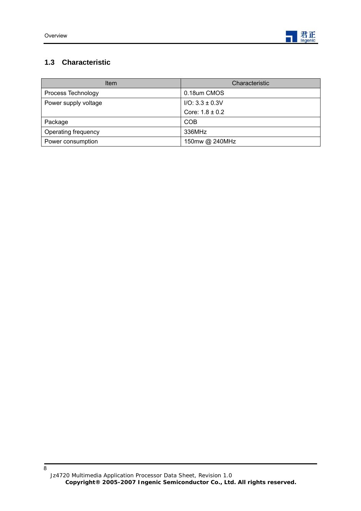

# <span id="page-11-0"></span>**1.3 Characteristic**

| <b>Item</b>          | Characteristic      |
|----------------------|---------------------|
| Process Technology   | 0.18um CMOS         |
| Power supply voltage | $I/O: 3.3 \pm 0.3V$ |
|                      | Core: $1.8 \pm 0.2$ |
| Package              | <b>COB</b>          |
| Operating frequency  | 336MHz              |
| Power consumption    | 150mw @ 240MHz      |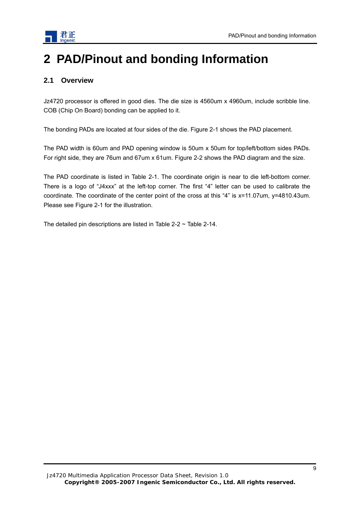<span id="page-12-0"></span>

# **2 PAD/Pinout and bonding Information**

# **2.1 Overview**

Jz4720 processor is offered in good dies. The die size is 4560um x 4960um, include scribble line. COB (Chip On Board) bonding can be applied to it.

The bonding PADs are located at four sides of the die. [Figure 2-1](#page-13-0) shows the PAD placement.

The PAD width is 60um and PAD opening window is 50um x 50um for top/left/bottom sides PADs. For right side, they are 76um and 67um x 61um. [Figure 2-2](#page-13-0) shows the PAD diagram and the size.

The PAD coordinate is listed in [Table 2-1](#page-16-0). The coordinate origin is near to die left-bottom corner. There is a logo of "J4xxx" at the left-top corner. The first "4" letter can be used to calibrate the coordinate. The coordinate of the center point of the cross at this "4" is x=11.07um, y=4810.43um. Please see [Figure 2-1](#page-13-0) for the illustration.

The detailed pin descriptions are listed in [Table 2-2](#page-17-0) ~ [Table 2-14.](#page-23-0)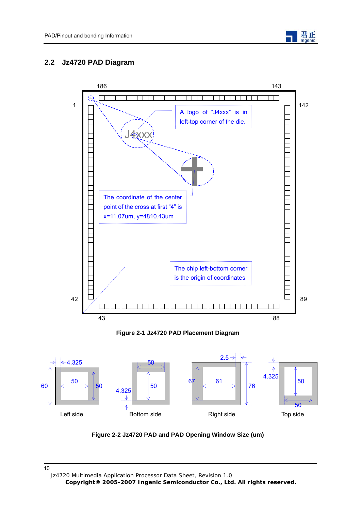

# <span id="page-13-0"></span>**2.2 Jz4720 PAD Diagram**



**Figure 2-1 Jz4720 PAD Placement Diagram** 



**Figure 2-2 Jz4720 PAD and PAD Opening Window Size (um)** 

Jz4720 Multimedia Application Processor Data Sheet, Revision 1.0 **Copyright® 2005-2007 Ingenic Semiconductor Co., Ltd. All rights reserved.**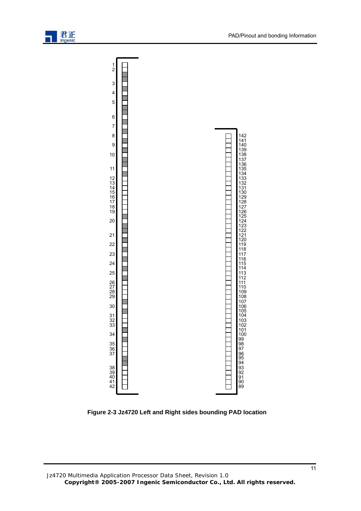



**Figure 2-3 Jz4720 Left and Right sides bounding PAD location**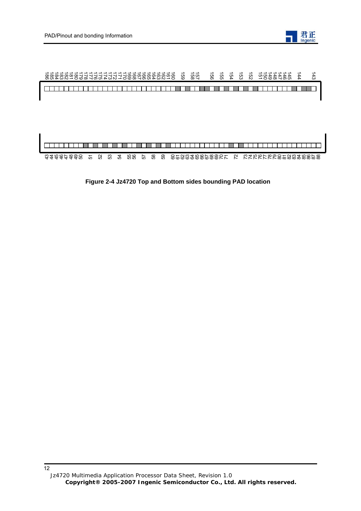



4444440<br>54000000 56 59 60 61 62 63 64 65 66 67 68 69 70 71 ~~~~~~~~~~~~~~~~~~

**Figure 2-4 Jz4720 Top and Bottom sides bounding PAD location** 

 $\overline{12}$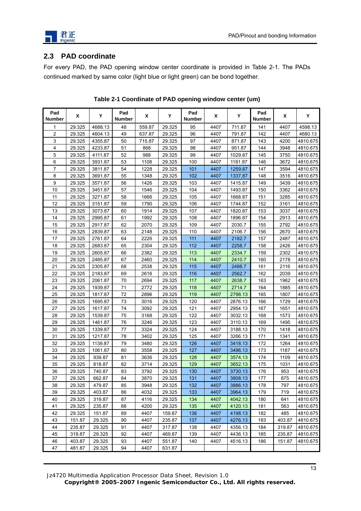<span id="page-16-0"></span>

# **2.3 PAD coordinate**

For every PAD, the PAD opening window center coordinate is provided in [Table 2-1.](#page-16-0) The PADs continued marked by same color (light blue or light green) can be bond together.

| Pad<br>Number  | X                | Y                  | Pad<br>Number | X            | Y                | Pad<br>Number | X            | Υ                  | Pad<br>Number | X            | Υ                    |
|----------------|------------------|--------------------|---------------|--------------|------------------|---------------|--------------|--------------------|---------------|--------------|----------------------|
| 1              | 29.325           | 4688.13            | 48            | 559.87       | 29.325           | 95            | 4407         | 711.87             | 141           | 4407         | 4598.13              |
| $\overline{2}$ | 29.325           | 4604.13            | 49            | 637.87       | 29.325           | 96            | 4407         | 791.87             | 142           | 4407         | 4680.13              |
| 3              | 29.325           | 4355.87            | 50            | 715.87       | 29.325           | 97            | 4407         | 871.87             | 143           | 4200         | 4810.675             |
| 4              | 29.325           | 4233.87            | 51            | 868          | 29.325           | 98            | 4407         | 951.87             | 144           | 3948         | 4810.675             |
| 5              | 29.325           | 4111.87            | 52            | 988          | 29.325           | 99            | 4407         | 1029.87            | 145           | 3750         | 4810.675             |
| 6              | 29.325           | 3931.87            | 53            | 1108         | 29.325           | 100           | 4407         | 1181.87            | 146           | 3672         | 4810.675             |
| $\overline{7}$ | 29.325           | 3811.87            | 54            | 1228         | 29.325           | 101           | 4407         | 1259.87            | 147           | 3594         | 4810.675             |
| 8              | 29.325           | 3691.87            | 55            | 1348         | 29.325           | 102           | 4407         | 1337.87            | 148           | 3516         | 4810.675             |
| 9              | 29.325           | 3571.87            | 56            | 1426         | 29.325           | 103           | 4407         | 1415.87            | 149           | 3439         | 4810.675             |
| 10             | 29.325           | 3451.87            | 57            | 1546         | 29.325           | 104           | 4407         | 1493.87            | 150           | 3362         | 4810.675             |
| 11             | 29.325           | 3271.87            | 58            | 1666         | 29.325           | 105           | 4407         | 1668.87            | 151           | 3285         | 4810.675             |
| 12             | 29.325           | 3151.87            | 59            | 1790         | 29.325           | 106           | 4407         | 1744.87            | 152           | 3161         | 4810.675             |
| 13             | 29.325           | 3073.87            | 60            | 1914         | 29.325           | 107           | 4407         | 1820.87            | 153           | 3037         | 4810.675             |
| 14             | 29.325           | 2995.87            | 61            | 1992         | 29.325           | 108           | 4407         | 1896.87            | 154           | 2913         | 4810.675             |
| 15             | 29.325           | 2917.87            | 62            | 2070         | 29.325           | 109           | 4407         | 2030.7             | 155           | 2792         | 4810.675             |
| 16             | 29.325           | 2839.87            | 63            | 2148         | 29.325           | 110           | 4407         | 2106.7             | 156           | 2670         | 4810.675             |
| 17             | 29.325           | 2761.87            | 64            | 2226         | 29.325           | 111           | 4407         | 2182.7             | 157           | 2487         | 4810.675             |
| 18             | 29.325           | 2683.87            | 65            | 2304         | 29.325           | 112           | 4407         | 2258.7             | 158           | 2426         | 4810.675             |
| 19             | 29.325           | 2605.87            | 66            | 2382         | 29.325           | 113           | 4407         | 2334.7             | 159           | 2302         | 4810.675             |
| 20             | 29.325           | 2485.87            | 67            | 2460         | 29.325           | 114           | 4407         | 2410.7             | 160           | 2178         | 4810.675             |
| 21             | 29.325           | 2305.87            | 68            | 2538         | 29.325           | 115           | 4407         | 2486.7             | 161           | 2116         | 4810.675             |
| 22             | 29.325           | 2183.87            | 69            | 2616         | 29.325           | 116           | 4407         | 2562.7             | 162           | 2039         | 4810.675             |
| 23             | 29.325           | 2061.87            | 70            | 2694         | 29.325           | 117           | 4407         | 2638.7             | 163           | 1962         | 4810.675             |
| 24             | 29.325           | 1939.87            | 71            | 2772         | 29.325           | 118           | 4407         | 2714.7             | 164           | 1885         | 4810.675             |
| 25             | 29.325           | 1817.87            | 72            | 2896         | 29.325           | 119           | 4407         | 2798.13            | 165           | 1807         | 4810.675             |
| 26             | 29.325           | 1695.87            | 73            | 3016         | 29.325           | 120           | 4407         | 2876.13            | 166           | 1729         | 4810.675             |
| 27             | 29.325           | 1617.87            | 74            | 3092         | 29.325           | 121           | 4407         | 2954.13            | 167           | 1651         | 4810.675             |
| 28<br>29       | 29.325<br>29.325 | 1539.87<br>1461.87 | 75<br>76      | 3168<br>3246 | 29.325<br>29.325 | 122<br>123    | 4407<br>4407 | 3032.13<br>3110.13 | 168<br>169    | 1573<br>1495 | 4810.675<br>4810.675 |
| 30             | 29.325           |                    | 77            | 3324         |                  | 124           | 4407         |                    | 170           | 1418         |                      |
| 31             | 29.325           | 1339.87<br>1217.87 | 78            | 3402         | 29.325<br>29.325 | 125           | 4407         | 3188.13<br>3266.13 | 171           | 1341         | 4810.675<br>4810.675 |
| 32             | 29.325           | 1139.87            | 79            | 3480         | 29.325           | 126           | 4407         | 3418.13            | 172           | 1264         | 4810.675             |
| 33             | 29.325           | 1061.87            | 80            | 3558         | 29.325           | 127           | 4407         | 3496.13            | 173           | 1187         | 4810.675             |
| 34             | 29.325           | 939.87             | 81            | 3636         | 29.325           | 128           | 4407         | 3574.13            | 174           | 1109         | 4810.675             |
| 35             | 29.325           | 818.87             | 82            | 3714         | 29.325           | 129           | 4407         | 3652.13            | 175           | 1031         | 4810.675             |
| 36             | 29.325           | 740.87             | 83            | 3792         | 29.325           | 130           | 4407         | 3730.13            | 176           | 953          | 4810.675             |
| 37             | 29.325           | 662.87             | 84            | 3870         | 29.325           | 131           | 4407         | 3808.13            | 177           | 875          | 4810.675             |
| 38             | 29.325           | 479.87             | 85            | 3948         | 29.325           | 132           | 4407         | 3886.13            | 178           | 797          | 4810.675             |
| 39             | 29.325           | 403.87             | 86            | 4032         | 29.325           | 133           | 4407         | 3964.13            | 179           | 719          | 4810.675             |
| 40             | 29.325           | 319.87             | 87            | 4116         | 29.325           | 134           | 4407         | 4042.13            | 180           | 641          | 4810.675             |
| 41             | 29.325           | 235.87             | 88            | 4200         | 29.325           | 135           | 4407         | 4120.13            | 181           | 563          | 4810.675             |
| 42             | 29.325           | 151.87             | 89            | 4407         | 159.87           | 136           | 4407         | 4198.13            | 182           | 485          | 4810.675             |
| 43             | 151.87           | 29.325             | 90            | 4407         | 235.87           | 137           | 4407         | 4276.13            | 183           | 403.87       | 4810.675             |
| 44             | 235.87           | 29.325             | 91            | 4407         | 317.87           | 138           | 4407         | 4356.13            | 184           | 319.87       | 4810.675             |
| 45             | 319.87           | 29.325             | 92            | 4407         | 469.87           | 139           | 4407         | 4436.13            | 185           | 235.87       | 4810.675             |
| 46             | 403.87           | 29.325             | 93            | 4407         | 551.87           | 140           | 4407         | 4516.13            | 186           | 151.87       | 4810.675             |
| 47             | 481.87           | 29.325             | 94            | 4407         | 631.87           |               |              |                    |               |              |                      |

**Table 2-1 Coordinate of PAD opening window center (um)**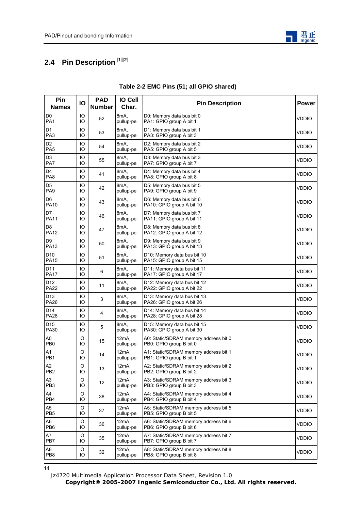

# <span id="page-17-0"></span>**2.4 Pin Description [1][2]**

| Pin<br><b>Names</b>               | IO       | <b>PAD</b><br><b>Number</b> | <b>IO Cell</b><br>Char.         | <b>Pin Description</b>                                           | <b>Power</b> |
|-----------------------------------|----------|-----------------------------|---------------------------------|------------------------------------------------------------------|--------------|
| D <sub>0</sub><br>PA1             | IO<br>IO | 52                          | 8mA.<br>pullup-pe               | D0: Memory data bus bit 0<br>PA1: GPIO group A bit 1             | VDDIO        |
| D1<br>PA <sub>3</sub>             | IО<br>IO | 53                          | 8mA,<br>pullup-pe               | D1: Memory data bus bit 1<br>PA3: GPIO group A bit 3             | VDDIO        |
| D <sub>2</sub><br>PA <sub>5</sub> | IO<br>IO | 54                          | 8mA,<br>pullup-pe               | D2: Memory data bus bit 2<br>PA5: GPIO group A bit 5             | VDDIO        |
| D <sub>3</sub><br>PA7             | IО<br>IO | 55                          | 8mA,<br>pullup-pe               | D3: Memory data bus bit 3<br>PA7: GPIO group A bit 7             | VDDIO        |
| D <sub>4</sub><br>PA <sub>8</sub> | IO<br>IO | 41                          | 8mA,<br>pullup-pe               | D4: Memory data bus bit 4<br>PA8: GPIO group A bit 8             | VDDIO        |
| D5<br>PA <sub>9</sub>             | IO<br>IO | 42                          | 8mA,<br>pullup-pe               | D5: Memory data bus bit 5<br>PA9: GPIO group A bit 9             | <b>VDDIO</b> |
| D <sub>6</sub><br><b>PA10</b>     | IO<br>IO | 43                          | 8mA,<br>pullup-pe               | D6: Memory data bus bit 6<br>PA10: GPIO group A bit 10           | VDDIO        |
| D7<br><b>PA11</b>                 | IO<br>IO | 46                          | 8mA,<br>pullup-pe               | D7: Memory data bus bit 7<br>PA11: GPIO group A bit 11           | VDDIO        |
| D <sub>8</sub><br><b>PA12</b>     | IO<br>IO | 47                          | 8mA,<br>pullup-pe               | D8: Memory data bus bit 8<br>PA12: GPIO group A bit 12           | VDDIO        |
| D <sub>9</sub><br><b>PA13</b>     | IO<br>IO | 50                          | 8mA,<br>pullup-pe               | D9: Memory data bus bit 9<br>PA13: GPIO group A bit 13           | VDDIO        |
| D <sub>10</sub><br><b>PA15</b>    | IO<br>IO | 51                          | 8mA,<br>pullup-pe               | D10: Memory data bus bit 10<br>PA15: GPIO group A bit 15         | VDDIO        |
| D11<br>PA17                       | IО<br>IO | 6                           | 8mA,<br>pullup-pe               | D11: Memory data bus bit 11<br>PA17: GPIO group A bit 17         | VDDIO        |
| D <sub>12</sub><br><b>PA22</b>    | IО<br>IO | 11                          | 8mA.<br>pullup-pe               | D12: Memory data bus bit 12<br>PA22: GPIO group A bit 22         | VDDIO        |
| D <sub>13</sub><br><b>PA26</b>    | IO<br>IO | 3                           | 8mA,<br>pullup-pe               | D13: Memory data bus bit 13<br>PA26: GPIO group A bit 26         | VDDIO        |
| D14<br><b>PA28</b>                | IO<br>IO | 4                           | 8mA,<br>pullup-pe               | D14: Memory data bus bit 14<br>PA28: GPIO group A bit 28         | VDDIO        |
| D <sub>15</sub><br><b>PA30</b>    | IO<br>IO | 5                           | 8mA,<br>pullup-pe               | D15: Memory data bus bit 15<br>PA30: GPIO group A bit 30         | VDDIO        |
| A <sub>0</sub><br>PB <sub>0</sub> | O<br>IO  | 15                          | 12mA.<br>pullup-pe              | A0: Static/SDRAM memory address bit 0<br>PB0: GPIO group B bit 0 | <b>VDDIO</b> |
| A1<br>PB1                         | O<br>IO  | 14                          | 12mA<br>pullup-pe               | A1: Static/SDRAM memory address bit 1<br>PB1: GPIO group B bit 1 | <b>VDDIO</b> |
| A2<br>PB <sub>2</sub>             | O<br>IO  | 13                          | 12mA<br>pullup-pe               | A2: Static/SDRAM memory address bit 2<br>PB2: GPIO group B bit 2 | VDDIO        |
| A <sub>3</sub><br>PB <sub>3</sub> | O<br>IO  | 12                          | 12mA.<br>pullup-pe              | A3: Static/SDRAM memory address bit 3<br>PB3: GPIO group B bit 3 | VDDIO        |
| A4<br>PB4                         | O<br>IO  | 38                          | 12mA,<br>pullup-pe              | A4: Static/SDRAM memory address bit 4<br>PB4: GPIO group B bit 4 | VDDIO        |
| A <sub>5</sub><br>PB <sub>5</sub> | O<br>IO  | 37                          | 12mA,<br>pullup-pe              | A5: Static/SDRAM memory address bit 5<br>PB5: GPIO group B bit 5 | <b>VDDIO</b> |
| A6<br>PB <sub>6</sub>             | O<br>IО  | 36                          | 12mA,<br>pullup-pe              | A6: Static/SDRAM memory address bit 6<br>PB6: GPIO group B bit 6 | <b>VDDIO</b> |
| A7<br>PB7                         | O<br>IO  | 35                          | 12 <sub>m</sub> A.<br>pullup-pe | A7: Static/SDRAM memory address bit 7<br>PB7: GPIO group B bit 7 | VDDIO        |
| A8<br>PB8                         | O<br>IO  | 32                          | 12mA,<br>pullup-pe              | A8: Static/SDRAM memory address bit 8<br>PB8: GPIO group B bit 8 | <b>VDDIO</b> |

# **Table 2-2 EMC Pins (51; all GPIO shared)**

 $\overline{14}$ 

Jz4720 Multimedia Application Processor Data Sheet, Revision 1.0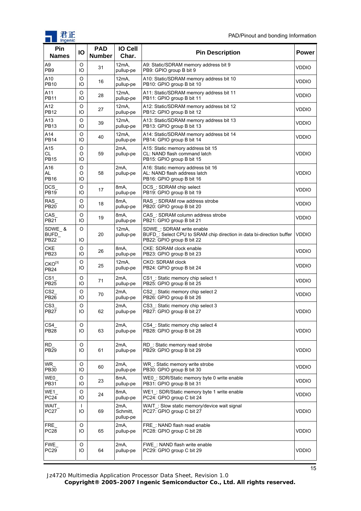

| Pin<br><b>Names</b>                  | IO                 | <b>PAD</b><br><b>Number</b> | <b>IO Cell</b><br>Char.          | <b>Pin Description</b>                                                                                                        | <b>Power</b> |
|--------------------------------------|--------------------|-----------------------------|----------------------------------|-------------------------------------------------------------------------------------------------------------------------------|--------------|
| A <sub>9</sub><br>PB <sub>9</sub>    | O<br>IО            | 31                          | 12mA,<br>pullup-pe               | A9: Static/SDRAM memory address bit 9<br>PB9: GPIO group B bit 9                                                              | VDDIO        |
| A10<br><b>PB10</b>                   | O<br>IО            | 16                          | 12mA<br>pullup-pe                | A10: Static/SDRAM memory address bit 10<br>PB10: GPIO group B bit 10                                                          | VDDIO        |
| A11<br><b>PB11</b>                   | O<br>IО            | 28                          | 12mA<br>pullup-pe                | A11: Static/SDRAM memory address bit 11<br>PB11: GPIO group B bit 11                                                          | VDDIO        |
| A12<br><b>PB12</b>                   | O<br>IО            | 27                          | 12mA<br>pullup-pe                | A12: Static/SDRAM memory address bit 12<br>PB12: GPIO group B bit 12                                                          | VDDIO        |
| A13<br><b>PB13</b>                   | O<br>IО            | 39                          | 12mA,<br>pullup-pe               | A13: Static/SDRAM memory address bit 13<br>PB13: GPIO group B bit 13                                                          | VDDIO        |
| A14<br><b>PB14</b>                   | O<br>IO            | 40                          | 12mA,<br>pullup-pe               | A14: Static/SDRAM memory address bit 14<br>PB14: GPIO group B bit 14                                                          | <b>VDDIO</b> |
| A15<br>CL<br><b>PB15</b>             | O<br>O<br>IО       | 59                          | 2mA<br>pullup-pe                 | A15: Static memory address bit 15<br>CL: NAND flash command latch<br>PB15: GPIO group B bit 15                                | VDDIO        |
| A16<br>AL<br><b>PB16</b>             | O<br>O<br>IО       | 58                          | 2mA<br>pullup-pe                 | A16: Static memory address bit 16<br>AL: NAND flash address latch<br>PB16: GPIO group B bit 16                                | VDDIO        |
| <b>DCS</b><br><b>PB19</b>            | O<br>IО            | 17                          | 8mA,<br>pullup-pe                | DCS: SDRAM chip select<br>PB19: GPIO group B bit 19                                                                           | VDDIO        |
| RAS<br><b>PB20</b>                   | O<br>IО            | 18                          | 8mA,<br>pullup-pe                | RAS : SDRAM row address strobe<br>PB20: GPIO group B bit 20                                                                   | VDDIO        |
| CAS<br><b>PB21</b>                   | O<br>IО            | 19                          | 8mA.<br>pullup-pe                | CAS : SDRAM column address strobe<br>PB21: GPIO group B bit 21                                                                | VDDIO        |
| SDWE &<br><b>BUFD</b><br><b>PB22</b> | O<br>IO            | 20                          | 12mA<br>pullup-pe                | SDWE : SDRAM write enable<br>BUFD: Select CPU to SRAM chip direction in data bi-direction buffer<br>PB22: GPIO group B bit 22 | <b>VDDIO</b> |
| <b>CKE</b><br><b>PB23</b>            | O<br>IО            | 26                          | 8mA,<br>pullup-pe                | CKE: SDRAM clock enable<br>PB23: GPIO group B bit 23                                                                          | <b>VDDIO</b> |
| $CKO^{[3]}$<br><b>PB24</b>           | O<br>IО            | 25                          | 12mA<br>pullup-pe                | <b>CKO: SDRAM clock</b><br>PB24: GPIO group B bit 24                                                                          | <b>VDDIO</b> |
| CS1<br><b>PB25</b>                   | O<br>IО            | 71                          | 2mA.<br>pullup-pe                | CS1: Static memory chip select 1<br>PB25: GPIO group B bit 25                                                                 | VDDIO        |
| $CS-$<br><b>PB26</b>                 | O<br>IО            | 70                          | 2mA<br>pullup-pe                 | CS2_: Static memory chip select 2<br>PB26: GPIO group B bit 26                                                                | <b>VDDIO</b> |
| CS <sub>3</sub><br><b>PB27</b>       | O<br>IО            | 62                          | 2mA<br>pullup-pe                 | CS3: Static memory chip select 3<br>PB27: GPIO group B bit 27                                                                 | <b>VDDIO</b> |
| CS4<br><b>PB28</b>                   | O<br>IO            | 63                          | 2mA<br>pullup-pe                 | CS4 : Static memory chip select 4<br>PB28: GPIO group B bit 28                                                                | <b>VDDIO</b> |
| RD<br><b>PB29</b>                    | O<br>IО            | 61                          | 2mA,<br>pullup-pe                | RD : Static memory read strobe<br>PB29: GPIO group B bit 29                                                                   | VDDIO        |
| WR<br><b>PB30</b>                    | O<br>IО            | 60                          | 2mA.<br>pullup-pe                | WR: Static memory write strobe<br>PB30: GPIO group B bit 30                                                                   | <b>VDDIO</b> |
| WE0<br><b>PB31</b>                   | O<br>IO            | 23                          | 8mA.<br>pullup-pe                | WE0 : SDR/Static memory byte 0 write enable<br>PB31: GPIO group B bit 31                                                      | <b>VDDIO</b> |
| WE1<br><b>PC24</b>                   | O<br>IО            | 24                          | 8mA.<br>pullup-pe                | WE1_: SDR/Static memory byte 1 write enable<br>PC24: GPIO group C bit 24                                                      | VDDIO        |
| WAIT<br>PC <sub>27</sub>             | $\mathbf{I}$<br>IО | 69                          | $2mA$ ,<br>Schmitt,<br>pullup-pe | WAIT : Slow static memory/device wait signal<br>PC27: GPIO group C bit 27                                                     | VDDIO        |
| <b>FRE</b><br><b>PC28</b>            | O<br>Ю             | 65                          | 2mA<br>pullup-pe                 | FRE : NAND flash read enable<br>PC28: GPIO group C bit 28                                                                     | VDDIO        |
| FWE<br>PC <sub>29</sub>              | O<br>IО            | 64                          | $2mA$ ,<br>pullup-pe             | FWE : NAND flash write enable<br>PC29: GPIO group C bit 29                                                                    | VDDIO        |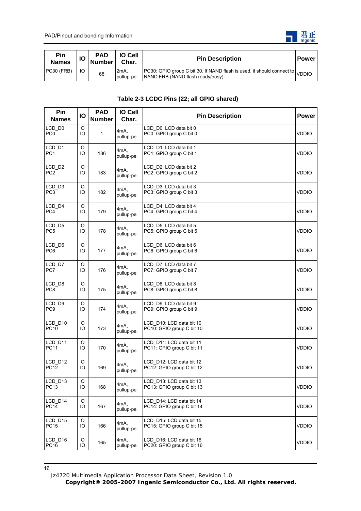

| Pin<br><b>Names</b> | IO | <b>PAD</b><br><b>Number</b> | <b>IO Cell</b><br>Char. | <b>Pin Description</b>                                                                                            | <b>Power</b> |
|---------------------|----|-----------------------------|-------------------------|-------------------------------------------------------------------------------------------------------------------|--------------|
| PC30 (FRB)          | IO | 68                          | $2mA$ .<br>pullup-pe    | IPC30: GPIO group C bit 30. If NAND flash is used, it should connect to VDDIO<br>NAND FRB (NAND flash ready/busy) |              |

### **Table 2-3 LCDC Pins (22; all GPIO shared)**

| Pin<br><b>Names</b>                   | IO            | <b>PAD</b><br><b>Number</b> | <b>IO Cell</b><br>Char. | <b>Pin Description</b>                                | <b>Power</b> |
|---------------------------------------|---------------|-----------------------------|-------------------------|-------------------------------------------------------|--------------|
| LCD D0<br>PC <sub>0</sub>             | $\circ$<br>IO | 1                           | 4mA,<br>pullup-pe       | LCD D0: LCD data bit 0<br>PC0: GPIO group C bit 0     | <b>VDDIO</b> |
| LCD D1<br>PC <sub>1</sub>             | O<br>IO       | 186                         | 4mA,<br>pullup-pe       | LCD D1: LCD data bit 1<br>PC1: GPIO group C bit 1     | <b>VDDIO</b> |
| LCD D <sub>2</sub><br>PC <sub>2</sub> | O<br>IO       | 183                         | 4mA.<br>pullup-pe       | LCD D2: LCD data bit 2<br>PC2: GPIO group C bit 2     | <b>VDDIO</b> |
| LCD_D3<br>PC <sub>3</sub>             | O<br>IO       | 182                         | 4mA,<br>pullup-pe       | LCD_D3: LCD data bit 3<br>PC3: GPIO group C bit 3     | <b>VDDIO</b> |
| LCD D4<br>PC4                         | O<br>IO       | 179                         | 4mA,<br>pullup-pe       | LCD D4: LCD data bit 4<br>PC4: GPIO group C bit 4     | <b>VDDIO</b> |
| LCD D5<br>PC <sub>5</sub>             | O<br>IO       | 178                         | 4mA.<br>pullup-pe       | LCD_D5: LCD data bit 5<br>PC5: GPIO group C bit 5     | <b>VDDIO</b> |
| LCD_D6<br>PC <sub>6</sub>             | O<br>IO       | 177                         | 4mA.<br>pullup-pe       | LCD D6: LCD data bit 6<br>PC6: GPIO group C bit 6     | <b>VDDIO</b> |
| LCD D7<br>PC7                         | O<br>IO       | 176                         | 4mA,<br>pullup-pe       | LCD D7: LCD data bit 7<br>PC7: GPIO group C bit 7     | <b>VDDIO</b> |
| LCD D8<br>PC <sub>8</sub>             | O<br>IO       | 175                         | 4mA,<br>pullup-pe       | LCD_D8: LCD data bit 8<br>PC8: GPIO group C bit 8     | <b>VDDIO</b> |
| LCD <sub>D9</sub><br>PC <sub>9</sub>  | O<br>IO       | 174                         | 4mA,<br>pullup-pe       | LCD D9: LCD data bit 9<br>PC9: GPIO group C bit 9     | <b>VDDIO</b> |
| LCD D10<br><b>PC10</b>                | O<br>IO       | 173                         | 4mA,<br>pullup-pe       | LCD D10: LCD data bit 10<br>PC10: GPIO group C bit 10 | <b>VDDIO</b> |
| LCD D11<br><b>PC11</b>                | O<br>IO       | 170                         | 4mA.<br>pullup-pe       | LCD D11: LCD data bit 11<br>PC11: GPIO group C bit 11 | <b>VDDIO</b> |
| LCD D12<br><b>PC12</b>                | O<br>IO       | 169                         | 4mA,<br>pullup-pe       | LCD D12: LCD data bit 12<br>PC12: GPIO group C bit 12 | <b>VDDIO</b> |
| LCD D13<br><b>PC13</b>                | O<br>IО       | 168                         | 4mA,<br>pullup-pe       | LCD D13: LCD data bit 13<br>PC13: GPIO group C bit 13 | <b>VDDIO</b> |
| LCD_D14<br><b>PC14</b>                | O<br>IO       | 167                         | 4mA.<br>pullup-pe       | LCD D14: LCD data bit 14<br>PC14: GPIO group C bit 14 | <b>VDDIO</b> |
| LCD_D15<br><b>PC15</b>                | $\circ$<br>IO | 166                         | 4mA,<br>pullup-pe       | LCD D15: LCD data bit 15<br>PC15: GPIO group C bit 15 | <b>VDDIO</b> |
| LCD D16<br><b>PC16</b>                | O<br>IO       | 165                         | 4mA.<br>pullup-pe       | LCD_D16: LCD data bit 16<br>PC20: GPIO group C bit 16 | <b>VDDIO</b> |

16

Jz4720 Multimedia Application Processor Data Sheet, Revision 1.0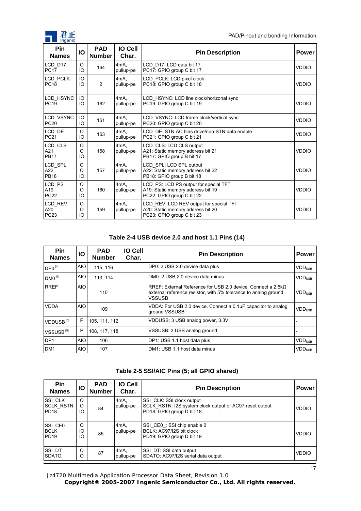| ageni<br>r. |
|-------------|

| Pin<br><b>Names</b>                  | IО                       | <b>PAD</b><br><b>Number</b> | <b>IO Cell</b><br>Char. | <b>Pin Description</b>                                                                                    | <b>Power</b> |
|--------------------------------------|--------------------------|-----------------------------|-------------------------|-----------------------------------------------------------------------------------------------------------|--------------|
| LCD_D17<br><b>PC17</b>               | $\circ$<br>IO            | 164                         | 4mA,<br>pullup-pe       | LCD_D17: LCD data bit 17<br>PC17: GPIO group C bit 17                                                     | <b>VDDIO</b> |
| LCD_PCLK<br><b>PC18</b>              | IO<br>IO                 | 2                           | 4mA,<br>pullup-pe       | LCD_PCLK: LCD pixel clock<br>PC18: GPIO group C bit 18                                                    | <b>VDDIO</b> |
| LCD HSYNC<br><b>PC19</b>             | IO<br>IO                 | 162                         | 4mA,<br>pullup-pe       | LCD HSYNC: LCD line clock/horizonal sync<br>PC19: GPIO group C bit 19                                     | <b>VDDIO</b> |
| LCD_VSYNC<br><b>PC20</b>             | IO<br>IO                 | 161                         | 4mA.<br>pullup-pe       | LCD VSYNC: LCD frame clock/vertical sync<br>PC20: GPIO group C bit 20                                     | <b>VDDIO</b> |
| LCD_DE<br><b>PC21</b>                | O<br>IO                  | 163                         | 4mA.<br>pullup-pe       | LCD DE: STN AC bias drive/non-STN data enable<br>PC21: GPIO group C bit 21                                | <b>VDDIO</b> |
| LCD_CLS<br>A21<br><b>PB17</b>        | $\circ$<br>$\circ$<br>IO | 158                         | 4mA.<br>pullup-pe       | LCD CLS: LCD CLS output<br>A21: Static memory address bit 21<br>PB17: GPIO group B bit 17                 | <b>VDDIO</b> |
| LCD_SPL<br>A22<br><b>PB18</b>        | $\circ$<br>O<br>IO       | 157                         | 4mA.<br>pullup-pe       | LCD_SPL: LCD SPL output<br>A22: Static memory address bit 22<br>PB18: GPIO group B bit 18                 | <b>VDDIO</b> |
| LCD_PS<br>A19<br><b>PC22</b>         | O<br>O<br>IO             | 160                         | 4mA.<br>pullup-pe       | LCD PS: LCD PS output for special TFT<br>A19: Static memory address bit 19<br>PC22: GPIO group C bit 22   | <b>VDDIO</b> |
| <b>LCD REV</b><br>A20<br><b>PC23</b> | $\circ$<br>$\circ$<br>IO | 159                         | 4mA.<br>pullup-pe       | LCD REV: LCD REV output for special TFT<br>A20: Static memory address bit 20<br>PC23: GPIO group C bit 23 | <b>VDDIO</b> |

# **Table 2-4 USB device 2.0 and host 1.1 Pins (14)**

| <b>Pin</b><br><b>Names</b> | IО         | <b>PAD</b><br><b>Number</b> | <b>IO Cell</b><br>Char. | <b>Pin Description</b>                                                                                                                                  | <b>Power</b>              |
|----------------------------|------------|-----------------------------|-------------------------|---------------------------------------------------------------------------------------------------------------------------------------------------------|---------------------------|
| $DPO^{[4]}$                | AIO        | 115, 116                    |                         | DP0: 2 USB 2.0 device data plus                                                                                                                         | <b>VDD<sub>USB</sub></b>  |
| DMO <sup>[4]</sup>         | <b>AIO</b> | 113, 114                    |                         | DM0: 2 USB 2.0 device data minus                                                                                                                        | <b>VDD</b> <sub>USB</sub> |
| <b>RREF</b>                | <b>AIO</b> | 110                         |                         | RREF: External Reference for USB 2.0 device, Connect a $2.5k\Omega$<br>external reference resistor, with 5% tolerance to analog ground<br><b>VSSUSB</b> | <b>VDD</b> <sub>USB</sub> |
| VDDA                       | AIO.       | 109                         |                         | VDDA: For USB 2.0 device. Connect a 0.1µF capacitor to analog<br>ground VSSUSB                                                                          | <b>VDD</b> <sub>USB</sub> |
| VDDUSB <sup>[5]</sup>      | P          | 105, 111, 112               |                         | VDDUSB: 3 USB analog power, 3.3V                                                                                                                        |                           |
| VSSUSB <sup>[5]</sup>      | P          | 108, 117, 118               |                         | VSSUSB: 3 USB analog ground                                                                                                                             |                           |
| DP <sub>1</sub>            | <b>AIO</b> | 106                         |                         | DP1: USB 1.1 host data plus                                                                                                                             | <b>VDD</b> <sub>USB</sub> |
| DM <sub>1</sub>            | AIO        | 107                         |                         | DM1: USB 1.1 host data minus                                                                                                                            | <b>VDD<sub>USB</sub></b>  |

# **Table 2-5 SSI/AIC Pins (5; all GPIO shared)**

| Pin<br><b>Names</b>                                    | IО            | <b>PAD</b><br><b>Number</b> | <b>IO Cell</b><br>Char. | <b>Pin Description</b>                                                                                            | <b>Power</b> |
|--------------------------------------------------------|---------------|-----------------------------|-------------------------|-------------------------------------------------------------------------------------------------------------------|--------------|
| <b>SSI CLK</b><br><b>SCLK RSTN</b><br>PD <sub>18</sub> | O<br>O<br>IO  | 84                          | 4mA.<br>pullup-pe       | SSI CLK: SSI clock output<br>SCLK_RSTN: I2S system clock output or AC97 reset output<br>PD18: GPIO group D bit 18 | <b>VDDIO</b> |
| SSI CEO<br><b>BCLK</b><br>PD <sub>19</sub>             | O<br>IO<br>IO | 85                          | 4mA.<br>pullup-pe       | SSI CEO: SSI chip enable 0<br>BCLK: AC97/I2S bit clock<br>PD19: GPIO group D bit 19                               | <b>VDDIO</b> |
| SSI DT<br><b>SDATO</b>                                 | O<br>O        | 87                          | 4mA.<br>pullup-pe       | SSI DT: SSI data output<br>SDATO: AC97/I2S serial data output                                                     | <b>VDDIO</b> |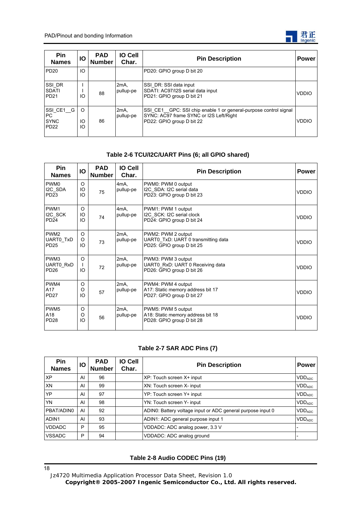

| Pin<br><b>Names</b>                                  | Ю                   | <b>PAD</b><br><b>Number</b> | <b>IO Cell</b><br>Char. | <b>Pin Description</b>                                                                                                                   | <b>Power</b> |
|------------------------------------------------------|---------------------|-----------------------------|-------------------------|------------------------------------------------------------------------------------------------------------------------------------------|--------------|
| <b>PD20</b>                                          | IO                  |                             |                         | PD20: GPIO group D bit 20                                                                                                                |              |
| SSI DR<br><b>SDATI</b><br><b>PD21</b>                | IO                  | 88                          | 2mA.<br>pullup-pe       | SSI DR: SSI data input<br>SDATI: AC97/I2S serial data input<br>PD21: GPIO group D bit 21                                                 | <b>VDDIO</b> |
| SSI CE1 G<br><b>PC</b><br><b>SYNC</b><br><b>PD22</b> | $\circ$<br>IO<br>IO | 86                          | 2mA.<br>pullup-pe       | SSI CE1 GPC: SSI chip enable 1 or general-purpose control signal<br>SYNC: AC97 frame SYNC or I2S Left/Right<br>PD22: GPIO group D bit 22 | <b>VDDIO</b> |

## **Table 2-6 TCU/I2C/UART Pins (6; all GPIO shared)**

| Pin<br><b>Names</b>                               | IO                       | <b>PAD</b><br><b>Number</b> | <b>IO Cell</b><br>Char. | <b>Pin Description</b>                                                                 | <b>Power</b> |
|---------------------------------------------------|--------------------------|-----------------------------|-------------------------|----------------------------------------------------------------------------------------|--------------|
| PWM <sub>0</sub><br>I2C SDA<br><b>PD23</b>        | $\circ$<br>IO<br>IO      | 75                          | 4mA.<br>pullup-pe       | PWM0: PWM 0 output<br>I2C SDA: I2C serial data<br>PD23: GPIO group D bit 23            | <b>VDDIO</b> |
| PWM <sub>1</sub><br><b>I2C SCK</b><br><b>PD24</b> | $\circ$<br>IO<br>IO      | 74                          | 4mA.<br>pullup-pe       | PWM1: PWM 1 output<br>I2C SCK: I2C serial clock<br>PD24: GPIO group D bit 24           | <b>VDDIO</b> |
| PWM <sub>2</sub><br>UARTO TxD<br><b>PD25</b>      | $\circ$<br>$\circ$<br>IO | 73                          | 2mA<br>pullup-pe        | PWM2: PWM 2 output<br>UART0 TxD: UART 0 transmitting data<br>PD25: GPIO group D bit 25 | <b>VDDIO</b> |
| PWM3<br>UART0_RxD<br><b>PD26</b>                  | $\Omega$<br>IO           | 72                          | $2mA$ ,<br>pullup-pe    | PWM3: PWM 3 output<br>UART0 RxD: UART 0 Receiving data<br>PD26: GPIO group D bit 26    |              |
| PWM4<br>A17<br><b>PD27</b>                        | O<br>O<br>IO             | 57                          | $2mA$ ,<br>pullup-pe    | PWM4: PWM 4 output<br>A17: Static memory address bit 17<br>PD27: GPIO group D bit 27   | <b>VDDIO</b> |
| PWM <sub>5</sub><br>A18<br>PD <sub>28</sub>       | O<br>O<br>IO             | 56                          | 2mA<br>pullup-pe        | PWM5: PWM 5 output<br>A18: Static memory address bit 18<br>PD28: GPIO group D bit 28   | <b>VDDIO</b> |

### **Table 2-7 SAR ADC Pins (7)**

| Pin<br><b>Names</b> | Ю  | <b>PAD</b><br><b>Number</b> | <b>IO Cell</b><br>Char. | <b>Pin Description</b>                                      | <b>Power</b>              |
|---------------------|----|-----------------------------|-------------------------|-------------------------------------------------------------|---------------------------|
| <b>XP</b>           | AI | 96                          |                         | XP: Touch screen X+ input                                   | VDD <sub>ADC</sub>        |
| XN                  | AI | 99                          |                         | XN: Touch screen X- input                                   | <b>VDD</b> <sub>ADC</sub> |
| YP                  | Al | 97                          |                         | YP: Touch screen Y+ input                                   | <b>VDD</b> <sub>ADC</sub> |
| YN                  | Al | 98                          |                         | YN: Touch screen Y- input                                   | <b>VDD</b> <sub>ADC</sub> |
| PBAT/ADINO          | Al | 92                          |                         | ADINO: Battery voltage input or ADC general purpose input 0 | <b>VDD</b> <sub>ADC</sub> |
| ADIN <sub>1</sub>   | AI | 93                          |                         | ADIN1: ADC general purpose input 1                          | <b>VDD</b> <sub>ADC</sub> |
| <b>VDDADC</b>       | P  | 95                          |                         | VDDADC: ADC analog power, 3.3 V                             |                           |
| <b>VSSADC</b>       | P  | 94                          |                         | VDDADC: ADC analog ground                                   |                           |

### **Table 2-8 Audio CODEC Pins (19)**

18

Jz4720 Multimedia Application Processor Data Sheet, Revision 1.0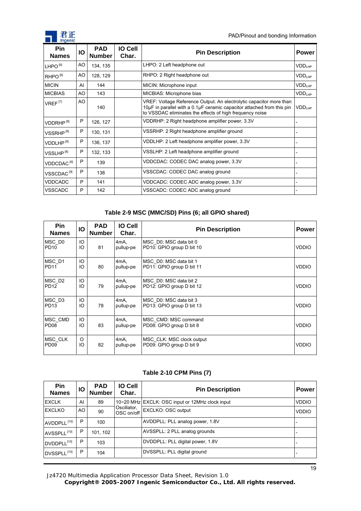

PAD/Pinout and bonding Information

| <b>Pin</b><br><b>Names</b> | IО  | <b>PAD</b><br><b>Number</b> | <b>IO Cell</b><br>Char. | <b>Pin Description</b>                                                                                                                                                                                               | <b>Power</b>             |
|----------------------------|-----|-----------------------------|-------------------------|----------------------------------------------------------------------------------------------------------------------------------------------------------------------------------------------------------------------|--------------------------|
| LHPO <sup>[6]</sup>        | AO  | 134, 135                    |                         | LHPO: 2 Left headphone out                                                                                                                                                                                           | <b>VDD<sub>LHP</sub></b> |
| $RHPO^{[6]}$               | AO  | 128, 129                    |                         | RHPO: 2 Right headphone out                                                                                                                                                                                          | $VDD$ <sub>LHP</sub>     |
| <b>MICIN</b>               | AI  | 144                         |                         | MICIN: Microphone input                                                                                                                                                                                              | <b>VDD<sub>LHP</sub></b> |
| <b>MICBIAS</b>             | AO  | 143                         |                         | MICBIAS: Microphone bias                                                                                                                                                                                             | $VDD$ <sub>LHP</sub>     |
| VREF <sup>[7]</sup>        | AO. | 140                         |                         | VREF: Voltage Reference Output. An electrolytic capacitor more than<br>$10\mu$ F in parallel with a 0.1 $\mu$ F ceramic capacitor attached from this pin<br>to VSSDAC eliminates the effects of high frequency noise | $VDD$ <sub>LHP</sub>     |
| VDDRHP <sup>[8]</sup>      | P   | 126, 127                    |                         | VDDRHP: 2 Right headphone amplifier power, 3.3V                                                                                                                                                                      |                          |
| VSSRHP <sup>[8]</sup>      | P   | 130, 131                    |                         | VSSRHP: 2 Right headphone amplifier ground                                                                                                                                                                           |                          |
| VDDLHP <sup>[8]</sup>      | P   | 136, 137                    |                         | VDDLHP: 2 Left headphone amplifier power, 3.3V                                                                                                                                                                       |                          |
| VSSLHP <sup>[8]</sup>      | P   | 132, 133                    |                         | VSSLHP: 2 Left headphone amplifier ground                                                                                                                                                                            |                          |
| VDDCDAC <sup>[9]</sup>     | P   | 139                         |                         | VDDCDAC: CODEC DAC analog power, 3.3V                                                                                                                                                                                |                          |
| VSSCDAC <sup>[9]</sup>     | P   | 138                         |                         | VSSCDAC: CODEC DAC analog ground                                                                                                                                                                                     |                          |
| <b>VDDCADC</b>             | P   | 141                         |                         | VDDCADC: CODEC ADC analog power, 3.3V                                                                                                                                                                                |                          |
| <b>VSSCADC</b>             | P   | 142                         |                         | VSSCADC: CODEC ADC analog ground                                                                                                                                                                                     |                          |

# **Table 2-9 MSC (MMC/SD) Pins (6; all GPIO shared)**

| Pin<br><b>Names</b>               | IO       | <b>PAD</b><br><b>Number</b> | <b>IO Cell</b><br>Char. | <b>Pin Description</b>                                | <b>Power</b> |
|-----------------------------------|----------|-----------------------------|-------------------------|-------------------------------------------------------|--------------|
| MSC D <sub>0</sub><br><b>PD10</b> | IO<br>IO | 81                          | 4mA,<br>pullup-pe       | MSC D0: MSC data bit 0<br>PD10: GPIO group D bit 10   | <b>VDDIO</b> |
| MSC D1<br><b>PD11</b>             | IO<br>IO | 80                          | 4mA.<br>pullup-pe       | MSC D0: MSC data bit 1<br>PD11: GPIO group D bit 11   | <b>VDDIO</b> |
| MSC D <sub>2</sub><br><b>PD12</b> | IO<br>IO | 79                          | 4mA.<br>pullup-pe       | MSC D0: MSC data bit 2<br>PD12: GPIO group D bit 12   | <b>VDDIO</b> |
| MSC D3<br>PD <sub>13</sub>        | IO<br>IO | 78                          | 4mA.<br>pullup-pe       | MSC D0: MSC data bit 3<br>PD13: GPIO group D bit 13   | <b>VDDIO</b> |
| MSC CMD<br>PD <sub>08</sub>       | IO<br>IO | 83                          | 4mA,<br>pullup-pe       | MSC CMD: MSC command<br>PD08: GPIO group D bit 8      | <b>VDDIO</b> |
| MSC CLK<br>PD <sub>09</sub>       | O<br>IO  | 82                          | 4mA,<br>pullup-pe       | MSC CLK: MSC clock output<br>PD09: GPIO group D bit 9 | <b>VDDIO</b> |

## **Table 2-10 CPM Pins (7)**

| Pin<br><b>Names</b>     | IО | <b>PAD</b><br><b>Number</b> | <b>IO Cell</b><br>Char. | <b>Pin Description</b>                          | <b>Power</b> |
|-------------------------|----|-----------------------------|-------------------------|-------------------------------------------------|--------------|
| <b>EXCLK</b>            | Al | 89                          |                         | 10~20 MHz EXCLK: OSC input or 12MHz clock input | <b>VDDIO</b> |
| <b>EXCLKO</b>           | AO | 90                          |                         | Southand, EXCLKO: OSC output                    | <b>VDDIO</b> |
| AVDDPLL <sup>[10]</sup> | P  | 100                         |                         | AVDDPLL: PLL analog power, 1.8V                 |              |
| AVSSPLL <sup>[10]</sup> | P  | 101, 102                    |                         | AVSSPLL: 2 PLL analog grounds                   |              |
| DVDDPLL[10]             | P  | 103                         |                         | DVDDPLL: PLL digital power, 1.8V                |              |
| DVSSPLL <sup>[10]</sup> | P  | 104                         |                         | DVSSPLL: PLL digital ground                     |              |

Jz4720 Multimedia Application Processor Data Sheet, Revision 1.0 **Copyright® 2005-2007 Ingenic Semiconductor Co., Ltd. All rights reserved.**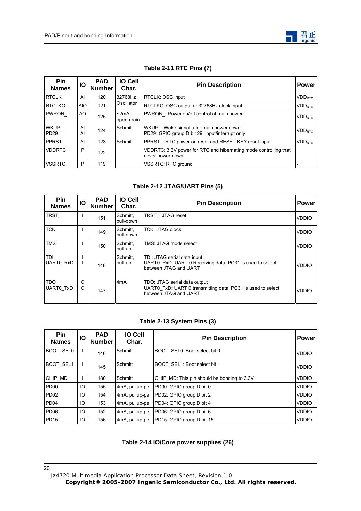

### **Table 2-11 RTC Pins (7)**

<span id="page-23-0"></span>

| Pin<br><b>Names</b>        | Ю          | <b>PAD</b><br><b>Number</b> | <b>IO Cell</b><br>Char. | <b>Pin Description</b>                                                                      | <b>Power</b>              |
|----------------------------|------------|-----------------------------|-------------------------|---------------------------------------------------------------------------------------------|---------------------------|
| <b>RTCLK</b>               | AI         | 120                         | 32768Hz                 | <b>RTCLK: OSC input</b>                                                                     | VDD <sub>RTC</sub>        |
| <b>RTCLKO</b>              | <b>AIO</b> | 121                         | Oscillator              | RTCLKO: OSC output or 32768Hz clock input                                                   | <b>VDD</b> <sub>RTC</sub> |
| <b>PWRON</b>               | AO         | 125                         | ~2mA<br>open-drain      | PWRON: Power on/off control of main power                                                   | <b>VDD</b> <sub>RTC</sub> |
| <b>WKUP</b><br><b>PD29</b> | AI<br>Al   | 124                         | Schmitt                 | WKUP : Wake signal after main power down<br>PD29: GPIO group D bit 29, input/interrupt only | VDD <sub>RTC</sub>        |
| <b>PPRST</b>               | AI         | 123                         | Schmitt                 | PPRST: RTC power on reset and RESET-KEY reset input                                         | <b>VDD</b> <sub>RTC</sub> |
| <b>VDDRTC</b>              | P          | 122                         |                         | VDDRTC: 3.3V power for RTC and hibernating mode controlling that<br>never power down        |                           |
| <b>VSSRTC</b>              | P          | 119                         |                         | VSSRTC: RTC ground                                                                          |                           |

### **Table 2-12 JTAG/UART Pins (5)**

| <b>Pin</b><br><b>Names</b> | IО     | <b>PAD</b><br><b>Number</b> | <b>IO Cell</b><br>Char. | <b>Pin Description</b>                                                                                               | <b>Power</b> |
|----------------------------|--------|-----------------------------|-------------------------|----------------------------------------------------------------------------------------------------------------------|--------------|
| TRST                       |        | 151                         | Schmitt,<br>pull-down   | TRST: JTAG reset                                                                                                     | VDDIO        |
| <b>TCK</b>                 |        | 149                         | Schmitt.<br>pull-down   | <b>TCK: JTAG clock</b>                                                                                               | <b>VDDIO</b> |
| <b>TMS</b>                 |        | 150                         | Schmitt.<br>pull-up     | TMS: JTAG mode select                                                                                                | <b>VDDIO</b> |
| <b>TDI</b><br>UART0 RxD    |        | 148                         | Schmitt.<br>pull-up     | TDI: JTAG serial data input<br>UART0 RxD: UART 0 Receiving data, PC31 is used to select<br>between JTAG and UART     | VDDIO        |
| <b>TDO</b><br>UART0_TxD    | O<br>O | 147                         | 4 <sub>m</sub> A        | TDO: JTAG serial data output<br>UARTO TxD: UART 0 transmitting data, PC31 is used to select<br>between JTAG and UART | VDDIO        |

### **Table 2-13 System Pins (3)**

| Pin<br><b>Names</b> | IО | <b>PAD</b><br><b>Number</b> | <b>IO Cell</b><br>Char. | <b>Pin Description</b>                      | <b>Power</b> |
|---------------------|----|-----------------------------|-------------------------|---------------------------------------------|--------------|
| <b>BOOT SELO</b>    |    | 146                         | Schmitt                 | BOOT SEL0: Boot select bit 0                | <b>VDDIO</b> |
| <b>BOOT SEL1</b>    |    | 145                         | Schmitt                 | BOOT SEL1: Boot select bit 1                | <b>VDDIO</b> |
| CHIP MD             |    | 180                         | Schmitt                 | CHIP MD: This pin should be bonding to 3.3V | <b>VDDIO</b> |
| PD <sub>00</sub>    | IO | 155                         | 4mA, pullup-pe          | PD00: GPIO group D bit 0                    | <b>VDDIO</b> |
| <b>PD02</b>         | IO | 154                         | 4mA, pullup-pe          | PD02: GPIO group D bit 2                    | <b>VDDIO</b> |
| PD <sub>04</sub>    | IO | 153                         | 4mA, pullup-pe          | PD04: GPIO group D bit 4                    | <b>VDDIO</b> |
| PD <sub>06</sub>    | IO | 152                         | 4mA, pullup-pe          | PD06: GPIO group D bit 6                    | <b>VDDIO</b> |
| PD <sub>15</sub>    | IO | 156                         | 4mA, pullup-pe          | PD15: GPIO group D bit 15                   | <b>VDDIO</b> |

### **Table 2-14 IO/Core power supplies (26)**

Jz4720 Multimedia Application Processor Data Sheet, Revision 1.0 **Copyright® 2005-2007 Ingenic Semiconductor Co., Ltd. All rights reserved.**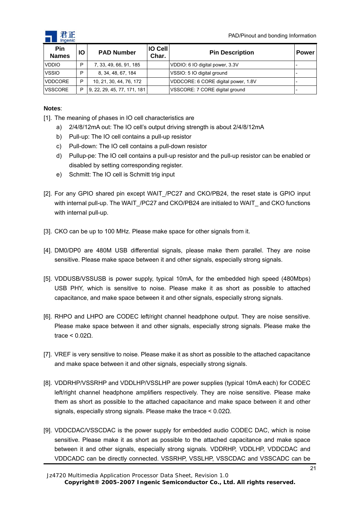

PAD/Pinout and bonding Information

| <b>Pin</b><br><b>Names</b> | IО | <b>PAD Number</b>           | <b>IO Cell</b><br>Char. | <b>Pin Description</b>              | <b>Power</b> |
|----------------------------|----|-----------------------------|-------------------------|-------------------------------------|--------------|
| <b>VDDIO</b>               | P  | 7, 33, 49, 66, 91, 185      |                         | VDDIO: 6 IO digital power, 3.3V     |              |
| <b>VSSIO</b>               | P  | 8, 34, 48, 67, 184          |                         | VSSIO: 5 IO digital ground          |              |
| <b>VDDCORE</b>             | P  | 10, 21, 30, 44, 76, 172     |                         | VDDCORE: 6 CORE digital power, 1.8V |              |
| <b>VSSCORE</b>             | P  | 9, 22, 29, 45, 77, 171, 181 |                         | VSSCORE: 7 CORE digital ground      |              |

### **Notes**:

- [1]. The meaning of phases in IO cell characteristics are
	- a) 2/4/8/12mA out: The IO cell's output driving strength is about 2/4/8/12mA
	- b) Pull-up: The IO cell contains a pull-up resistor
	- c) Pull-down: The IO cell contains a pull-down resistor
	- d) Pullup-pe: The IO cell contains a pull-up resistor and the pull-up resistor can be enabled or disabled by setting corresponding register.
	- e) Schmitt: The IO cell is Schmitt trig input
- [2]. For any GPIO shared pin except WAIT /PC27 and CKO/PB24, the reset state is GPIO input with internal pull-up. The WAIT /PC27 and CKO/PB24 are initialed to WAIT and CKO functions with internal pull-up.
- [3]. CKO can be up to 100 MHz. Please make space for other signals from it.
- [4]. DM0/DP0 are 480M USB differential signals, please make them parallel. They are noise sensitive. Please make space between it and other signals, especially strong signals.
- [5]. VDDUSB/VSSUSB is power supply, typical 10mA, for the embedded high speed (480Mbps) USB PHY, which is sensitive to noise. Please make it as short as possible to attached capacitance, and make space between it and other signals, especially strong signals.
- [6]. RHPO and LHPO are CODEC left/right channel headphone output. They are noise sensitive. Please make space between it and other signals, especially strong signals. Please make the trace  $\leq$  0.02Ω.
- [7]. VREF is very sensitive to noise. Please make it as short as possible to the attached capacitance and make space between it and other signals, especially strong signals.
- [8]. VDDRHP/VSSRHP and VDDLHP/VSSLHP are power supplies (typical 10mA each) for CODEC left/right channel headphone amplifiers respectively. They are noise sensitive. Please make them as short as possible to the attached capacitance and make space between it and other signals, especially strong signals. Please make the trace < 0.02Ω.
- [9]. VDDCDAC/VSSCDAC is the power supply for embedded audio CODEC DAC, which is noise sensitive. Please make it as short as possible to the attached capacitance and make space between it and other signals, especially strong signals. VDDRHP, VDDLHP, VDDCDAC and VDDCADC can be directly connected. VSSRHP, VSSLHP, VSSCDAC and VSSCADC can be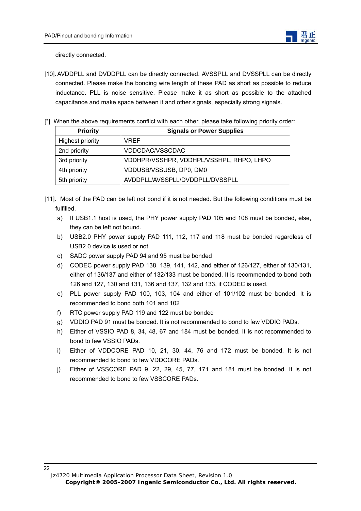

directly connected.

- [10]. AVDDPLL and DVDDPLL can be directly connected. AVSSPLL and DVSSPLL can be directly connected. Please make the bonding wire length of these PAD as short as possible to reduce inductance. PLL is noise sensitive. Please make it as short as possible to the attached capacitance and make space between it and other signals, especially strong signals.
- [\*]. When the above requirements conflict with each other, please take following priority order:

| <b>Priority</b>         | <b>Signals or Power Supplies</b>         |
|-------------------------|------------------------------------------|
| <b>Highest priority</b> | <b>VREF</b>                              |
| 2nd priority            | VDDCDAC/VSSCDAC                          |
| 3rd priority            | VDDHPR/VSSHPR, VDDHPL/VSSHPL, RHPO, LHPO |
| 4th priority            | VDDUSB/VSSUSB, DP0, DM0                  |
| 5th priority            | AVDDPLL/AVSSPLL/DVDDPLL/DVSSPLL          |

- [11]. Most of the PAD can be left not bond if it is not needed. But the following conditions must be fulfilled.
	- a) If USB1.1 host is used, the PHY power supply PAD 105 and 108 must be bonded, else, they can be left not bound.
	- b) USB2.0 PHY power supply PAD 111, 112, 117 and 118 must be bonded regardless of USB2.0 device is used or not.
	- c) SADC power supply PAD 94 and 95 must be bonded
	- d) CODEC power supply PAD 138, 139, 141, 142, and either of 126/127, either of 130/131, either of 136/137 and either of 132/133 must be bonded. It is recommended to bond both 126 and 127, 130 and 131, 136 and 137, 132 and 133, if CODEC is used.
	- e) PLL power supply PAD 100, 103, 104 and either of 101/102 must be bonded. It is recommended to bond both 101 and 102
	- f) RTC power supply PAD 119 and 122 must be bonded
	- g) VDDIO PAD 91 must be bonded. It is not recommended to bond to few VDDIO PADs.
	- h) Either of VSSIO PAD 8, 34, 48, 67 and 184 must be bonded. It is not recommended to bond to few VSSIO PADs.
	- i) Either of VDDCORE PAD 10, 21, 30, 44, 76 and 172 must be bonded. It is not recommended to bond to few VDDCORE PADs.
	- j) Either of VSSCORE PAD 9, 22, 29, 45, 77, 171 and 181 must be bonded. It is not recommended to bond to few VSSCORE PADs.

22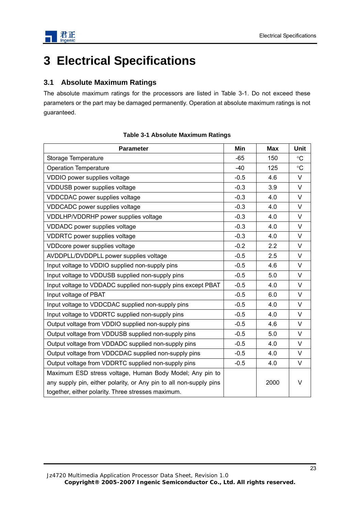<span id="page-26-0"></span>

# **3 Electrical Specifications**

# **3.1 Absolute Maximum Ratings**

The absolute maximum ratings for the processors are listed in [Table 3-1](#page-26-0). Do not exceed these parameters or the part may be damaged permanently. Operation at absolute maximum ratings is not guaranteed.

| <b>Parameter</b>                                                   | Min    | <b>Max</b> | Unit      |
|--------------------------------------------------------------------|--------|------------|-----------|
| Storage Temperature                                                | $-65$  | 150        | $\circ$ C |
| <b>Operation Temperature</b>                                       | $-40$  | 125        | $\circ$ C |
| VDDIO power supplies voltage                                       | $-0.5$ | 4.6        | V         |
| VDDUSB power supplies voltage                                      | $-0.3$ | 3.9        | $\vee$    |
| VDDCDAC power supplies voltage                                     | $-0.3$ | 4.0        | $\vee$    |
| VDDCADC power supplies voltage                                     | $-0.3$ | 4.0        | $\vee$    |
| VDDLHP/VDDRHP power supplies voltage                               | $-0.3$ | 4.0        | $\vee$    |
| VDDADC power supplies voltage                                      | $-0.3$ | 4.0        | $\vee$    |
| VDDRTC power supplies voltage                                      | $-0.3$ | 4.0        | V         |
| VDDcore power supplies voltage                                     | $-0.2$ | 2.2        | V         |
| AVDDPLL/DVDDPLL power supplies voltage                             | $-0.5$ | 2.5        | V         |
| Input voltage to VDDIO supplied non-supply pins                    | $-0.5$ | 4.6        | $\vee$    |
| Input voltage to VDDUSB supplied non-supply pins                   | $-0.5$ | 5.0        | $\vee$    |
| Input voltage to VDDADC supplied non-supply pins except PBAT       | $-0.5$ | 4.0        | $\vee$    |
| Input voltage of PBAT                                              | $-0.5$ | 6.0        | $\vee$    |
| Input voltage to VDDCDAC supplied non-supply pins                  | $-0.5$ | 4.0        | $\vee$    |
| Input voltage to VDDRTC supplied non-supply pins                   | $-0.5$ | 4.0        | $\vee$    |
| Output voltage from VDDIO supplied non-supply pins                 | $-0.5$ | 4.6        | $\vee$    |
| Output voltage from VDDUSB supplied non-supply pins                | $-0.5$ | 5.0        | V         |
| Output voltage from VDDADC supplied non-supply pins                | $-0.5$ | 4.0        | $\vee$    |
| Output voltage from VDDCDAC supplied non-supply pins               | $-0.5$ | 4.0        | V         |
| Output voltage from VDDRTC supplied non-supply pins                | $-0.5$ | 4.0        | V         |
| Maximum ESD stress voltage, Human Body Model; Any pin to           |        |            |           |
| any supply pin, either polarity, or Any pin to all non-supply pins |        | 2000       | V         |
| together, either polarity. Three stresses maximum.                 |        |            |           |

### **Table 3-1 Absolute Maximum Ratings**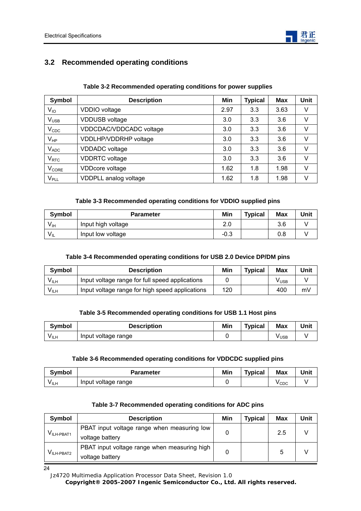

# <span id="page-27-0"></span>**3.2 Recommended operating conditions**

| Symbol                 | <b>Description</b>      | Min  | <b>Typical</b> | <b>Max</b> | <b>Unit</b> |
|------------------------|-------------------------|------|----------------|------------|-------------|
| $V_{IO}$               | VDDIO voltage           | 2.97 | 3.3            | 3.63       | V           |
| <b>V<sub>USB</sub></b> | <b>VDDUSB</b> voltage   | 3.0  | 3.3            | 3.6        | V           |
| $V_{CDC}$              | VDDCDAC/VDDCADC voltage | 3.0  | 3.3            | 3.6        | V           |
| $V_{HP}$               | VDDLHP/VDDRHP voltage   | 3.0  | 3.3            | 3.6        | V           |
| <b>VADC</b>            | <b>VDDADC</b> voltage   | 3.0  | 3.3            | 3.6        | V           |
| <b>V<sub>RTC</sub></b> | <b>VDDRTC</b> voltage   | 3.0  | 3.3            | 3.6        | V           |
| <b>VCORE</b>           | <b>VDDcore voltage</b>  | 1.62 | 1.8            | 1.98       | V           |
| V <sub>PLL</sub>       | VDDPLL analog voltage   | 1.62 | 1.8            | 1.98       | V           |

### **Table 3-3 Recommended operating conditions for VDDIO supplied pins**

| <b>Symbol</b>   | <b>Parameter</b>   | Min    | <b>Typical</b> | <b>Max</b> | Unit |
|-----------------|--------------------|--------|----------------|------------|------|
| V <sub>IH</sub> | Input high voltage | 2.0    |                | 3.6        |      |
| $V_{IL}$        | Input low voltage  | $-0.3$ |                | 0.8        |      |

### **Table 3-4 Recommended operating conditions for USB 2.0 Device DP/DM pins**

| Symbol           | <b>Description</b>                              | Min | <b>Typical</b> | Max   | Unit |
|------------------|-------------------------------------------------|-----|----------------|-------|------|
| V <sub>ILH</sub> | Input voltage range for full speed applications |     |                | V USB |      |
| V <sub>ILH</sub> | Input voltage range for high speed applications | 120 |                | 400   | mV   |

### **Table 3-5 Recommended operating conditions for USB 1.1 Host pins**

| <b>Symbol</b> | <b>Description</b>  | Min | <b>Typical</b> | <b>Max</b> | Unit |
|---------------|---------------------|-----|----------------|------------|------|
| VILH          | Input voltage range |     |                | V USB      |      |

### **Table 3-6 Recommended operating conditions for VDDCDC supplied pins**

| Svmbol | Parameter           | Min | Tvpical | <b>Max</b>       | Unit |
|--------|---------------------|-----|---------|------------------|------|
| VILH   | Input voltage range |     |         | V <sub>CDC</sub> |      |

### **Table 3-7 Recommended operating conditions for ADC pins**

| Symbol                                   | <b>Description</b>                                              |   | <b>Typical</b> | Max | Unit |
|------------------------------------------|-----------------------------------------------------------------|---|----------------|-----|------|
| $\mathsf{V}_{\mathsf{ILH\text{-}PBAT1}}$ | PBAT input voltage range when measuring low<br>voltage battery  | 0 |                | 2.5 |      |
| $\mathsf{V}_{\mathsf{ILH\text{-}PBAT2}}$ | PBAT input voltage range when measuring high<br>voltage battery | 0 |                | 5   |      |

 $\overline{24}$ 

Jz4720 Multimedia Application Processor Data Sheet, Revision 1.0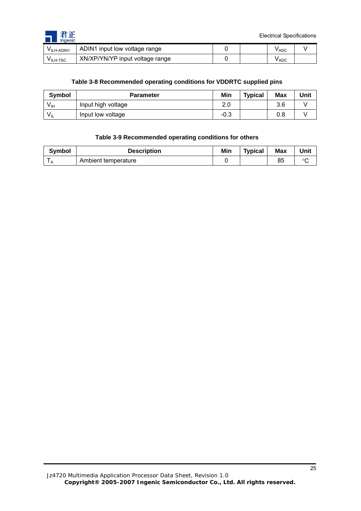| Ingenic              |                                 |  | <b>Electrical Specifications</b> |  |
|----------------------|---------------------------------|--|----------------------------------|--|
| VILH-ADIN1           | ADIN1 input low voltage range   |  | V ADC                            |  |
| V <sub>ILH-TSC</sub> | XN/XP/YN/YP input voltage range |  | V ADC                            |  |

## **Table 3-8 Recommended operating conditions for VDDRTC supplied pins**

| Symbol   | <b>Parameter</b>   | Min  | <b>Typical</b> | <b>Max</b> | Unit |
|----------|--------------------|------|----------------|------------|------|
| Vıн      | Input high voltage | 2.0  |                | 3.6        |      |
| $V_{IL}$ | Input low voltage  | -0.3 |                | 0.8        |      |

### **Table 3-9 Recommended operating conditions for others**

| <b>Symbol</b> | <b>Description</b>  | Min | Typical | <b>Max</b> | Unit   |
|---------------|---------------------|-----|---------|------------|--------|
| $\mathbf{v}$  | Ambient temperature |     |         | 85         | $\sim$ |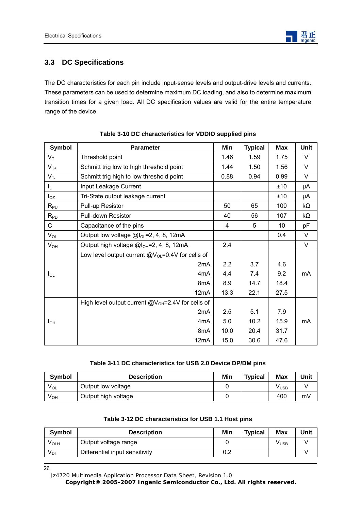

# <span id="page-29-0"></span>**3.3 DC Specifications**

The DC characteristics for each pin include input-sense levels and output-drive levels and currents. These parameters can be used to determine maximum DC loading, and also to determine maximum transition times for a given load. All DC specification values are valid for the entire temperature range of the device.

| <b>Symbol</b> | <b>Parameter</b>                                              | Min  | <b>Typical</b> | <b>Max</b> | <b>Unit</b> |
|---------------|---------------------------------------------------------------|------|----------------|------------|-------------|
| $V_T$         | Threshold point                                               | 1.46 | 1.59           | 1.75       | $\vee$      |
| $V_{T+}$      | Schmitt trig low to high threshold point                      | 1.44 | 1.50           | 1.56       | V           |
| $V_{T}$       | Schmitt trig high to low threshold point                      | 0.88 | 0.94           | 0.99       | V           |
| IL.           | Input Leakage Current                                         |      |                | ±10        | μA          |
| $I_{OZ}$      | Tri-State output leakage current                              |      |                | ±10        | μA          |
| $R_{PU}$      | Pull-up Resistor                                              | 50   | 65             | 100        | kΩ          |
| $R_{PD}$      | Pull-down Resistor                                            | 40   | 56             | 107        | kΩ          |
| C.            | Capacitance of the pins                                       | 4    | 5              | 10         | pF          |
| $V_{OL}$      | Output low voltage $@l_{OL} = 2, 4, 8, 12mA$                  |      |                | 0.4        | V           |
| $V_{OH}$      | Output high voltage $@l_{OH} = 2, 4, 8, 12mA$                 | 2.4  |                |            | V           |
|               | Low level output current $@V_{OL} = 0.4V$ for cells of        |      |                |            |             |
|               | 2mA                                                           | 2.2  | 3.7            | 4.6        |             |
| $I_{OL}$      | 4 <sub>m</sub> A                                              | 4.4  | 7.4            | 9.2        | mA          |
|               | 8mA                                                           | 8.9  | 14.7           | 18.4       |             |
|               | 12mA                                                          | 13.3 | 22.1           | 27.5       |             |
|               | High level output current @V <sub>OH</sub> =2.4V for cells of |      |                |            |             |
|               | 2mA                                                           | 2.5  | 5.1            | 7.9        |             |
| $I_{OH}$      | 4mA                                                           | 5.0  | 10.2           | 15.9       | mA          |
|               | 8 <sub>m</sub> A                                              | 10.0 | 20.4           | 31.7       |             |
|               | 12mA                                                          | 15.0 | 30.6           | 47.6       |             |

|  | Table 3-10 DC characteristics for VDDIO supplied pins |  |  |  |
|--|-------------------------------------------------------|--|--|--|
|  |                                                       |  |  |  |

|  |  |  | Table 3-11 DC characteristics for USB 2.0 Device DP/DM pins |
|--|--|--|-------------------------------------------------------------|
|--|--|--|-------------------------------------------------------------|

| <b>Symbol</b>              | <b>Description</b>  | Min | <b>Typical</b> | <b>Max</b> | Unit |
|----------------------------|---------------------|-----|----------------|------------|------|
| $V_{OL}$                   | Output low voltage  |     |                | Vusb       |      |
| $\mathsf{V}_{\mathsf{OH}}$ | Output high voltage |     |                | 400        | m∨   |

### **Table 3-12 DC characteristics for USB 1.1 Host pins**

| Symbol           | <b>Description</b>             | Min | <b>Typical</b> | <b>Max</b> | Unit |
|------------------|--------------------------------|-----|----------------|------------|------|
| V <sub>OLH</sub> | Output voltage range           |     |                | Vusb       |      |
| $V_{DI}$         | Differential input sensitivity | 0.2 |                |            |      |

26

Jz4720 Multimedia Application Processor Data Sheet, Revision 1.0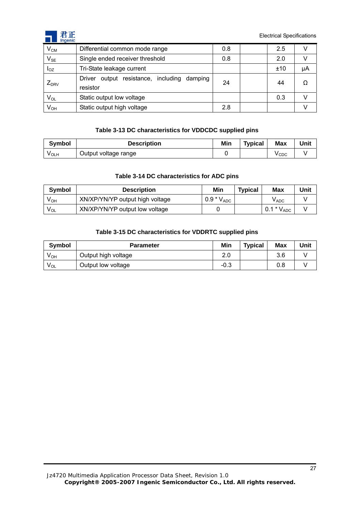

Electrical Specifications

| ________  |                                                                      |     |     |    |
|-----------|----------------------------------------------------------------------|-----|-----|----|
| $V_{CM}$  | Differential common mode range                                       | 0.8 | 2.5 |    |
| $V_{SE}$  | Single ended receiver threshold                                      | 0.8 | 2.0 |    |
| $I_{OZ}$  | Tri-State leakage current                                            |     | ±10 | μA |
| $Z_{DRV}$ | output resistance, including<br>damping<br><b>Driver</b><br>resistor | 24  | 44  |    |
| $V_{OL}$  | Static output low voltage                                            |     | 0.3 |    |
| $V_{OH}$  | Static output high voltage                                           | 2.8 |     |    |

## **Table 3-13 DC characteristics for VDDCDC supplied pins**

| <b>Symbol</b> | <b>Description</b>   |  | <b>Typical</b> | <b>Max</b>       | Unit |
|---------------|----------------------|--|----------------|------------------|------|
| ∨о∟н          | Output voltage range |  |                | V <sub>CDC</sub> |      |

### **Table 3-14 DC characteristics for ADC pins**

| Symbol          | <b>Description</b>              | Min             | Typical | Max            | Unit |
|-----------------|---------------------------------|-----------------|---------|----------------|------|
| Ѵ <sub>он</sub> | XN/XP/YN/YP output high voltage | $0.9 * V_{ADC}$ |         | V ADC          |      |
| $V_{OL}$        | XN/XP/YN/YP output low voltage  |                 |         | 0.1 $*V_{ADC}$ |      |

### **Table 3-15 DC characteristics for VDDRTC supplied pins**

| <b>Symbol</b>   | <b>Parameter</b>    | Min    | <b>Typical</b> | <b>Max</b> | Unit |
|-----------------|---------------------|--------|----------------|------------|------|
| V <sub>он</sub> | Output high voltage | 2.0    |                | 3.6        |      |
| $V_{OL}$        | Output low voltage  | $-0.3$ |                | 0.8        |      |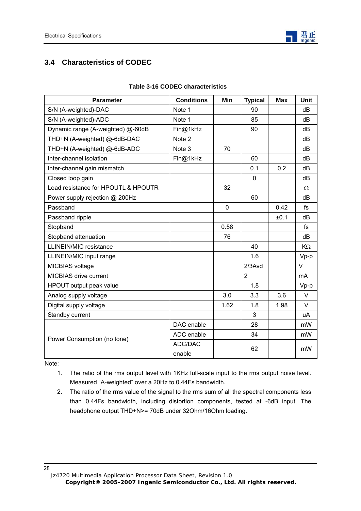

# <span id="page-31-0"></span>**3.4 Characteristics of CODEC**

| <b>Parameter</b>                    | <b>Conditions</b> | <b>Min</b> | <b>Typical</b> | <b>Max</b> | <b>Unit</b>  |
|-------------------------------------|-------------------|------------|----------------|------------|--------------|
| S/N (A-weighted)-DAC                | Note 1            |            | 90             |            | dB           |
| S/N (A-weighted)-ADC                | Note 1            |            | 85             |            | dB           |
| Dynamic range (A-weighted) @-60dB   | Fin@1kHz          |            | 90             |            | dB           |
| THD+N (A-weighted) @-6dB-DAC        | Note 2            |            |                |            | dB           |
| THD+N (A-weighted) @-6dB-ADC        | Note 3            | 70         |                |            | dB           |
| Inter-channel isolation             | Fin@1kHz          |            | 60             |            | dB           |
| Inter-channel gain mismatch         |                   |            | 0.1            | 0.2        | dB           |
| Closed loop gain                    |                   |            | $\Omega$       |            | dB           |
| Load resistance for HPOUTL & HPOUTR |                   | 32         |                |            | $\Omega$     |
| Power supply rejection @ 200Hz      |                   |            | 60             |            | dB           |
| Passband                            |                   | 0          |                | 0.42       | fs           |
| Passband ripple                     |                   |            |                | ±0.1       | dB           |
| Stopband                            |                   | 0.58       |                |            | fs           |
| Stopband attenuation                |                   | 76         |                |            | dB           |
| LLINEIN/MIC resistance              |                   |            | 40             |            | $K_{\Omega}$ |
| LLINEIN/MIC input range             |                   |            | 1.6            |            | $Vp-p$       |
| MICBIAS voltage                     |                   |            | $2/3$ Avd      |            | V            |
| MICBIAS drive current               |                   |            | $\overline{2}$ |            | mA           |
| HPOUT output peak value             |                   |            | 1.8            |            | $Vp-p$       |
| Analog supply voltage               |                   | 3.0        | 3.3            | 3.6        | $\vee$       |
| Digital supply voltage              |                   | 1.62       | 1.8            | 1.98       | $\vee$       |
| Standby current                     |                   |            | 3              |            | uA           |
|                                     | DAC enable        |            | 28             |            | mW           |
| Power Consumption (no tone)         | ADC enable        |            | 34             |            | mW           |
|                                     | ADC/DAC<br>enable |            | 62             |            | mW           |

### **Table 3-16 CODEC characteristics**

Note:

- 1. The ratio of the rms output level with 1KHz full-scale input to the rms output noise level. Measured "A-weighted" over a 20Hz to 0.44Fs bandwidth.
- 2. The ratio of the rms value of the signal to the rms sum of all the spectral components less than 0.44Fs bandwidth, including distortion components, tested at -6dB input. The headphone output THD+N>= 70dB under 32Ohm/16Ohm loading.

28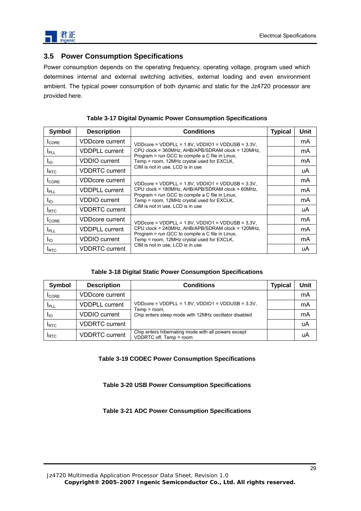<span id="page-32-0"></span>

## **3.5 Power Consumption Specifications**

Power consumption depends on the operating frequency, operating voltage, program used which determines internal and external switching activities, external loading and even environment ambient. The typical power consumption of both dynamic and static for the Jz4720 processor are provided here.

| Symbol           | <b>Description</b>     | <b>Conditions</b>                                                                                    | <b>Typical</b> | Unit |
|------------------|------------------------|------------------------------------------------------------------------------------------------------|----------------|------|
| <b>I</b> CORE    | VDDcore current        | VDDcore = $VDDPLL = 1.8V$ , $VDDIO1 = VDDUSE = 3.3V$ ,                                               |                | mA   |
| I <sub>PLL</sub> | <b>VDDPLL current</b>  | CPU clock = 360MHz, AHB/APB/SDRAM clock = 120MHz,<br>Program = run GCC to compile a C file in Linux, |                | mA   |
| <b>I</b> IO      | <b>VDDIO</b> current   | Temp = room, 12MHz crystal used for EXCLK,<br>CIM is not in use, LCD is in use                       |                | mA   |
| <b>I</b> RTC     | <b>VDDRTC current</b>  |                                                                                                      |                | uA   |
| <b>I</b> CORE    | <b>VDDcore current</b> | VDDcore = VDDPLL = $1.8V$ , VDDIO1 = VDDUSB = $3.3V$ ,                                               |                | mA   |
| <b>I</b> PLL     | <b>VDDPLL</b> current  | CPU clock = 180MHz, AHB/APB/SDRAM clock = 60MHz,<br>Program = run GCC to compile a C file in Linux,  |                | mA   |
| <b>I</b> IO      | <b>VDDIO</b> current   | Temp = room, 12MHz crystal used for EXCLK,<br>CIM is not in use, LCD is in use                       |                | mA   |
| <b>I</b> RTC     | <b>VDDRTC</b> current  |                                                                                                      |                | uA   |
| <b>ICORE</b>     | <b>VDDcore current</b> | VDDcore = $VDDPLL = 1.8V$ , $VDDIO1 = VDDUSE = 3.3V$ ,                                               |                | mA   |
| $I_{\sf PLL}$    | <b>VDDPLL current</b>  | CPU clock = 240MHz, AHB/APB/SDRAM clock = 120MHz,                                                    |                | mA   |
| <b>I</b> IO      | <b>VDDIO</b> current   | Program = run GCC to compile a C file in Linux,<br>Temp = room, 12MHz crystal used for EXCLK,        |                | mA   |
| <b>I</b> RTC     | <b>VDDRTC</b> current  | CIM is not in use, LCD is in use                                                                     |                | uA   |

**Table 3-17 Digital Dynamic Power Consumption Specifications** 

| Table 3-18 Digital Static Power Consumption Specifications |  |  |
|------------------------------------------------------------|--|--|
|------------------------------------------------------------|--|--|

| Symbol       | <b>Description</b>     | Conditions                                                                     | <b>Typical</b> | Unit |
|--------------|------------------------|--------------------------------------------------------------------------------|----------------|------|
| <b>ICORE</b> | <b>VDDcore current</b> |                                                                                |                | mA   |
| <b>I</b> PLL | <b>VDDPLL current</b>  | VDDcore = $VDDPLL = 1.8V$ , $VDDIO1 = VDDUSE = 3.3V$ ,                         |                | mA   |
| Iιo          | <b>VDDIO</b> current   | $Temp = room$ ,<br>Chip enters sleep mode with 12MHz oscillator disabled       |                | mA   |
| <b>IRTC</b>  | <b>VDDRTC</b> current  |                                                                                |                | uA   |
| <b>IRTC</b>  | <b>VDDRTC</b> current  | Chip enters hibernating mode with all powers except<br>VDDRTC off, Temp = room |                | uA   |

### **Table 3-19 CODEC Power Consumption Specifications**

**Table 3-20 USB Power Consumption Specifications** 

**Table 3-21 ADC Power Consumption Specifications**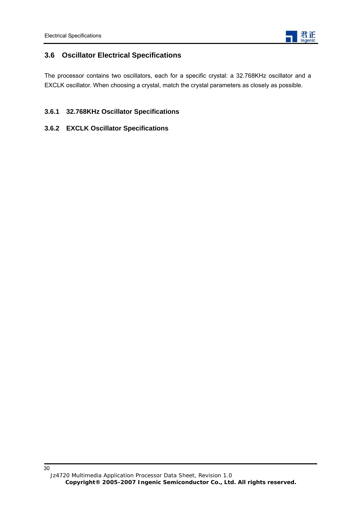

# <span id="page-33-0"></span>**3.6 Oscillator Electrical Specifications**

The processor contains two oscillators, each for a specific crystal: a 32.768KHz oscillator and a EXCLK oscillator. When choosing a crystal, match the crystal parameters as closely as possible.

## **3.6.1 32.768KHz Oscillator Specifications**

**3.6.2 EXCLK Oscillator Specifications**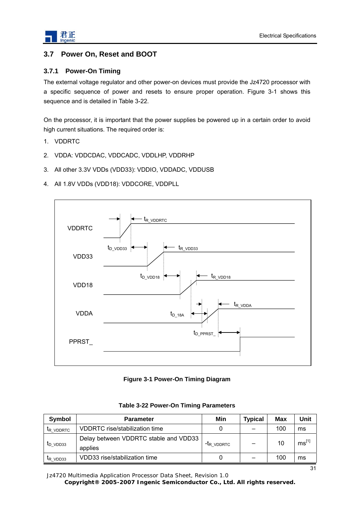<span id="page-34-0"></span>

# **3.7 Power On, Reset and BOOT**

## **3.7.1 Power-On Timing**

The external voltage regulator and other power-on devices must provide the Jz4720 processor with a specific sequence of power and resets to ensure proper operation. [Figure 3-1](#page-34-0) shows this sequence and is detailed in [Table 3-22.](#page-34-0)

On the processor, it is important that the power supplies be powered up in a certain order to avoid high current situations. The required order is:

- 1. VDDRTC
- 2. VDDA: VDDCDAC, VDDCADC, VDDLHP, VDDRHP
- 3. All other 3.3V VDDs (VDD33): VDDIO, VDDADC, VDDUSB
- 4. All 1.8V VDDs (VDD18): VDDCORE, VDDPLL



**Figure 3-1 Power-On Timing Diagram** 

| Symbol                | <b>Parameter</b>                      | Min                    | <b>Typical</b> | Max | Unit       |
|-----------------------|---------------------------------------|------------------------|----------------|-----|------------|
| <sup>I</sup> R VDDRTC | VDDRTC rise/stabilization time        | O                      | _              | 100 |            |
|                       | Delay between VDDRTC stable and VDD33 |                        |                | 10  | $ms^{[1]}$ |
| L <sub>D</sub> VDD33  | applies                               | -I <sub>R VDDRTC</sub> |                |     |            |
| LR VDD33              | VDD33 rise/stabilization time         | 0                      |                | 100 | ms         |

### **Table 3-22 Power-On Timing Parameters**

Jz4720 Multimedia Application Processor Data Sheet, Revision 1.0 **Copyright® 2005-2007 Ingenic Semiconductor Co., Ltd. All rights reserved.**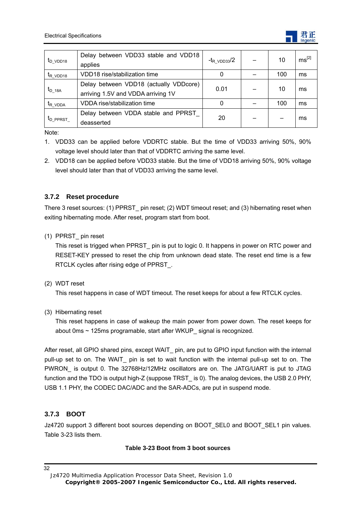

<span id="page-35-0"></span>

| $t_{D}$ v <sub>DD18</sub> | Delay between VDD33 stable and VDD18<br>applies                              | $-t_{R}$ $_{VDD33}/2$ | 10  | $ms^{[2]}$ |
|---------------------------|------------------------------------------------------------------------------|-----------------------|-----|------------|
| $t_{R}$ vDD18             | VDD18 rise/stabilization time                                                | 0                     | 100 | ms         |
| $t_{D}$ 18A               | Delay between VDD18 (actually VDDcore)<br>arriving 1.5V and VDDA arriving 1V | 0.01                  | 10  | ms         |
| t <sub>R</sub> VDDA       | VDDA rise/stabilization time                                                 | 0                     | 100 | ms         |
| $t_D$ PPRST_              | Delay between VDDA stable and PPRST<br>deasserted                            | 20                    |     | ms         |

Note:

- 1. VDD33 can be applied before VDDRTC stable. But the time of VDD33 arriving 50%, 90% voltage level should later than that of VDDRTC arriving the same level.
- 2. VDD18 can be applied before VDD33 stable. But the time of VDD18 arriving 50%, 90% voltage level should later than that of VDD33 arriving the same level.

## **3.7.2 Reset procedure**

There 3 reset sources: (1) PPRST pin reset; (2) WDT timeout reset; and (3) hibernating reset when exiting hibernating mode. After reset, program start from boot.

(1) PPRST\_ pin reset

This reset is trigged when PPRST\_ pin is put to logic 0. It happens in power on RTC power and RESET-KEY pressed to reset the chip from unknown dead state. The reset end time is a few RTCLK cycles after rising edge of PPRST\_.

(2) WDT reset

This reset happens in case of WDT timeout. The reset keeps for about a few RTCLK cycles.

(3) Hibernating reset

This reset happens in case of wakeup the main power from power down. The reset keeps for about 0ms ~ 125ms programable, start after WKUP\_ signal is recognized.

After reset, all GPIO shared pins, except WAIT\_ pin, are put to GPIO input function with the internal pull-up set to on. The WAIT pin is set to wait function with the internal pull-up set to on. The PWRON is output 0. The 32768Hz/12MHz oscillators are on. The JATG/UART is put to JTAG function and the TDO is output high-Z (suppose TRST is 0). The analog devices, the USB 2.0 PHY, USB 1.1 PHY, the CODEC DAC/ADC and the SAR-ADCs, are put in suspend mode.

## **3.7.3 BOOT**

Jz4720 support 3 different boot sources depending on BOOT\_SEL0 and BOOT\_SEL1 pin values. [Table 3-23](#page-35-0) lists them.

### **Table 3-23 Boot from 3 boot sources**

32

Jz4720 Multimedia Application Processor Data Sheet, Revision 1.0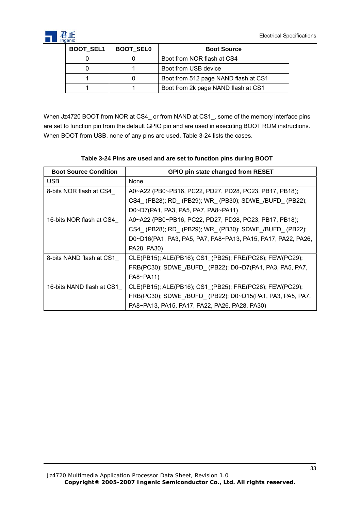<span id="page-36-0"></span>

| <b>BOOT SEL1</b> | <b>BOOT SELO</b> | <b>Boot Source</b>                   |
|------------------|------------------|--------------------------------------|
|                  |                  | Boot from NOR flash at CS4           |
|                  |                  | Boot from USB device                 |
|                  |                  | Boot from 512 page NAND flash at CS1 |
|                  |                  | Boot from 2k page NAND flash at CS1  |

When Jz4720 BOOT from NOR at CS4\_ or from NAND at CS1\_, some of the memory interface pins are set to function pin from the default GPIO pin and are used in executing BOOT ROM instructions. When BOOT from USB, none of any pins are used. [Table 3-24](#page-36-0) lists the cases.

| <b>Boot Source Condition</b> | GPIO pin state changed from RESET                            |  |  |
|------------------------------|--------------------------------------------------------------|--|--|
| USB.                         | None                                                         |  |  |
| 8-bits NOR flash at CS4      | A0~A22 (PB0~PB16, PC22, PD27, PD28, PC23, PB17, PB18);       |  |  |
|                              | CS4 (PB28); RD (PB29); WR (PB30); SDWE /BUFD (PB22);         |  |  |
|                              | D0~D7(PA1, PA3, PA5, PA7, PA8~PA11)                          |  |  |
| 16-bits NOR flash at CS4     | A0~A22 (PB0~PB16, PC22, PD27, PD28, PC23, PB17, PB18);       |  |  |
|                              | CS4 (PB28); RD (PB29); WR (PB30); SDWE /BUFD (PB22);         |  |  |
|                              | D0~D16(PA1, PA3, PA5, PA7, PA8~PA13, PA15, PA17, PA22, PA26, |  |  |
|                              | PA28, PA30)                                                  |  |  |
| 8-bits NAND flash at CS1     | CLE(PB15); ALE(PB16); CS1_(PB25); FRE(PC28); FEW(PC29);      |  |  |
|                              | FRB(PC30); SDWE /BUFD (PB22); D0~D7(PA1, PA3, PA5, PA7,      |  |  |
|                              | PA8~PA11)                                                    |  |  |
| 16-bits NAND flash at CS1    | CLE(PB15); ALE(PB16); CS1_(PB25); FRE(PC28); FEW(PC29);      |  |  |
|                              | FRB(PC30); SDWE_/BUFD_(PB22); D0~D15(PA1, PA3, PA5, PA7,     |  |  |
|                              | PA8~PA13, PA15, PA17, PA22, PA26, PA28, PA30)                |  |  |

| Table 3-24 Pins are used and are set to function pins during BOOT |  |
|-------------------------------------------------------------------|--|
|-------------------------------------------------------------------|--|